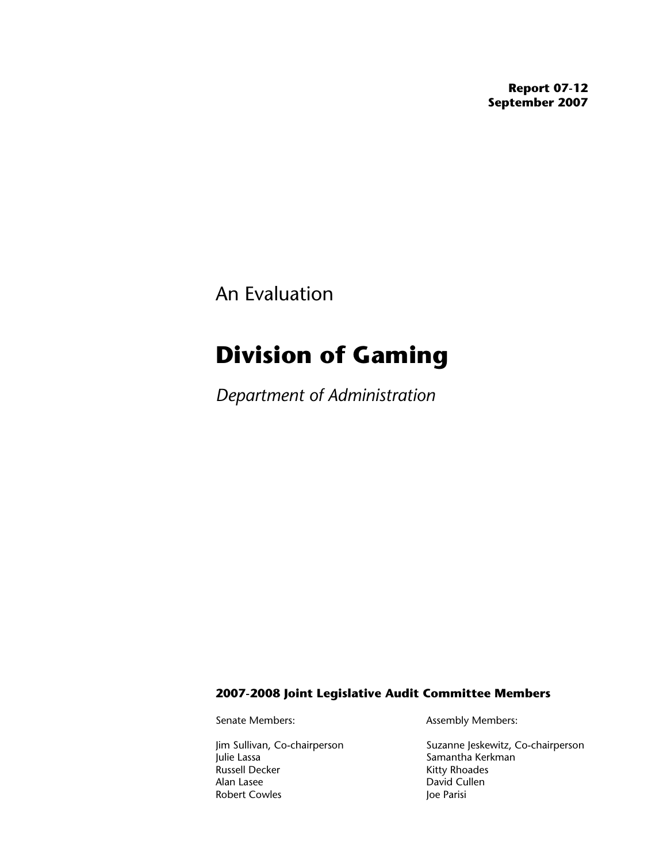**Report 07-12 September 2007** 

An Evaluation

# **Division of Gaming**

*Department of Administration*

### **2007-2008 Joint Legislative Audit Committee Members**

Julie Lassa **Samantha Kerkman**<br>
Russell Decker **Samantha Kerkman**<br>
Kitty Rhoades Alan Lasee David Cullen Robert Cowles **Governor** Joe Parisi

Senate Members: Assembly Members:

Jim Sullivan, Co-chairperson Suzanne Jeskewitz, Co-chairperson<br>Julie Lassa Samantha Kerkman Kitty Rhoades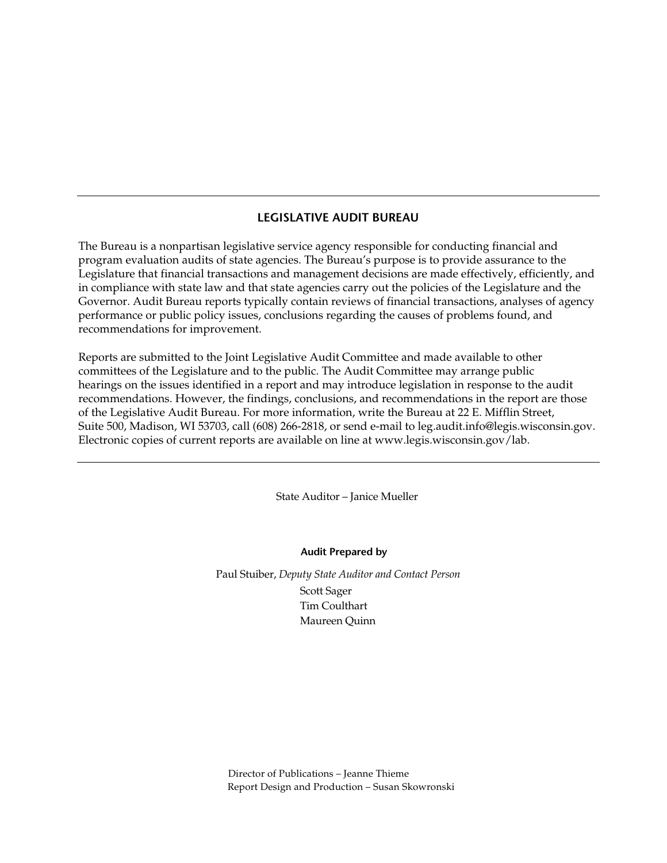### **LEGISLATIVE AUDIT BUREAU**

The Bureau is a nonpartisan legislative service agency responsible for conducting financial and program evaluation audits of state agencies. The Bureau's purpose is to provide assurance to the Legislature that financial transactions and management decisions are made effectively, efficiently, and in compliance with state law and that state agencies carry out the policies of the Legislature and the Governor. Audit Bureau reports typically contain reviews of financial transactions, analyses of agency performance or public policy issues, conclusions regarding the causes of problems found, and recommendations for improvement.

Reports are submitted to the Joint Legislative Audit Committee and made available to other committees of the Legislature and to the public. The Audit Committee may arrange public hearings on the issues identified in a report and may introduce legislation in response to the audit recommendations. However, the findings, conclusions, and recommendations in the report are those of the Legislative Audit Bureau. For more information, write the Bureau at 22 E. Mifflin Street, Suite 500, Madison, WI 53703, call (608) 266-2818, or send e-mail to leg.audit.info@legis.wisconsin.gov. Electronic copies of current reports are available on line at www.legis.wisconsin.gov/lab.

State Auditor – Janice Mueller

**Audit Prepared by** 

Paul Stuiber, *Deputy State Auditor and Contact Person*  Scott Sager Tim Coulthart Maureen Quinn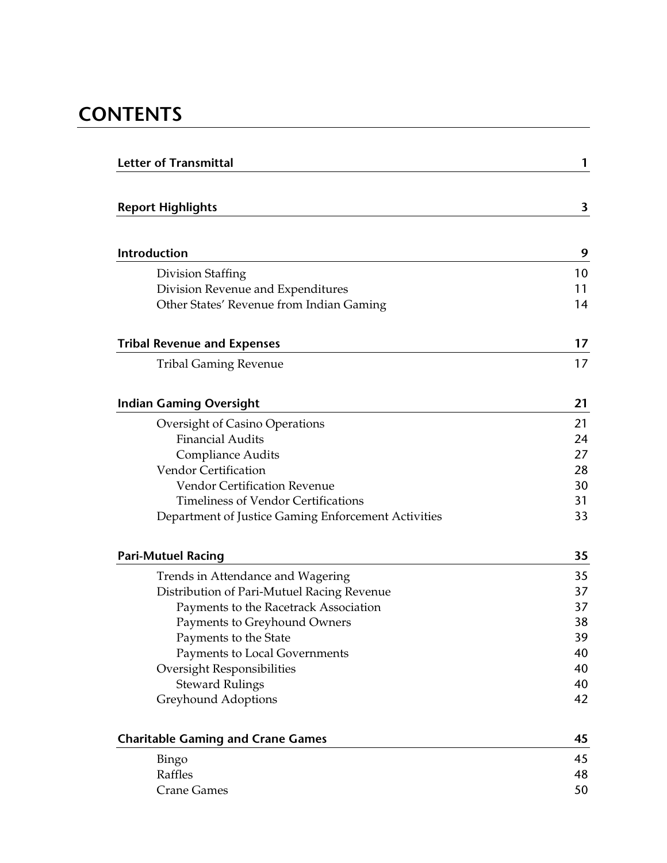# **CONTENTS**

| <b>Letter of Transmittal</b>                        | 1  |
|-----------------------------------------------------|----|
|                                                     |    |
| <b>Report Highlights</b>                            | 3  |
|                                                     |    |
| Introduction                                        | 9  |
| Division Staffing                                   | 10 |
| Division Revenue and Expenditures                   | 11 |
| Other States' Revenue from Indian Gaming            | 14 |
| <b>Tribal Revenue and Expenses</b>                  | 17 |
| <b>Tribal Gaming Revenue</b>                        | 17 |
| <b>Indian Gaming Oversight</b>                      | 21 |
| Oversight of Casino Operations                      | 21 |
| <b>Financial Audits</b>                             | 24 |
| <b>Compliance Audits</b>                            | 27 |
| <b>Vendor Certification</b>                         | 28 |
| <b>Vendor Certification Revenue</b>                 | 30 |
| <b>Timeliness of Vendor Certifications</b>          | 31 |
| Department of Justice Gaming Enforcement Activities | 33 |
| <b>Pari-Mutuel Racing</b>                           | 35 |
| Trends in Attendance and Wagering                   | 35 |
| Distribution of Pari-Mutuel Racing Revenue          | 37 |
| Payments to the Racetrack Association               | 37 |
| Payments to Greyhound Owners                        | 38 |
| Payments to the State                               | 39 |
| Payments to Local Governments                       | 40 |
| <b>Oversight Responsibilities</b>                   | 40 |
| <b>Steward Rulings</b>                              | 40 |
| Greyhound Adoptions                                 | 42 |
| <b>Charitable Gaming and Crane Games</b>            | 45 |
| Bingo                                               | 45 |
| Raffles                                             | 48 |
| <b>Crane Games</b>                                  | 50 |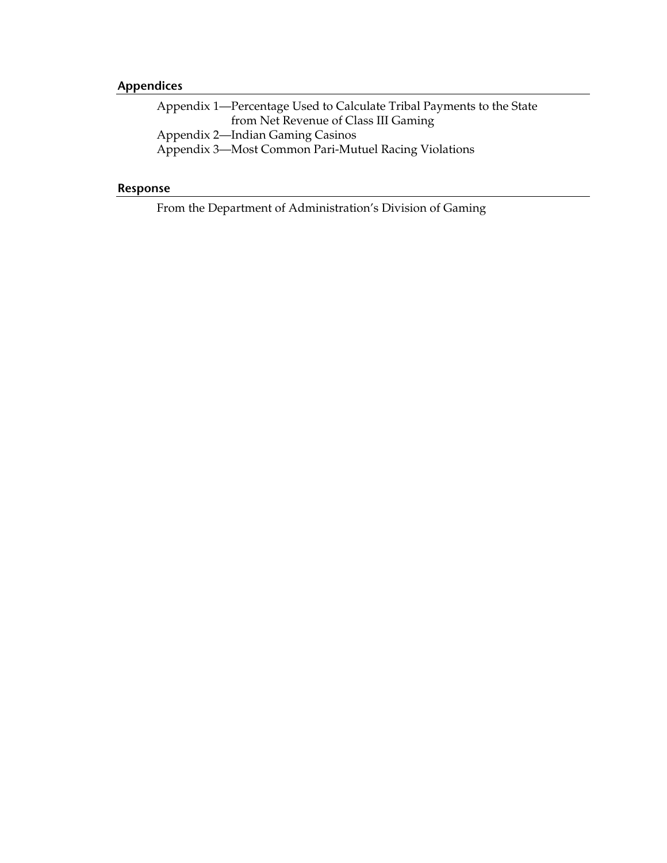## **Appendices**

[Appendix 1—Percentage Used to Calculate Tribal Payments to the State](#page-54-0)  from Net Revenue of Class III Gaming [Appendix 2—Indian Gaming Casinos](#page-56-0)  [Appendix 3—Most Common Pari-Mutuel Racing Violations](#page-58-0) 

## **Response**

[From the Department of Administration's Division of Gaming](#page-60-0)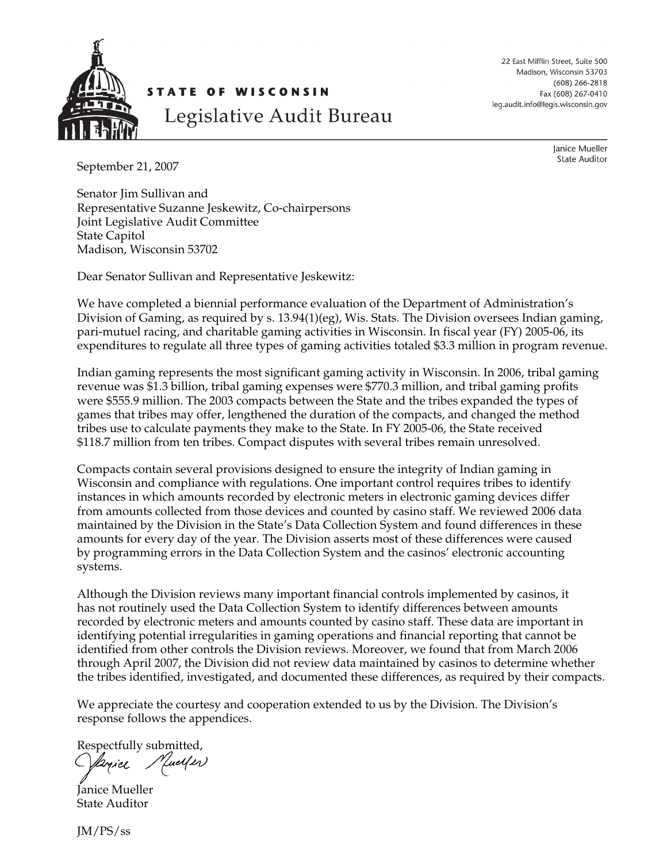<span id="page-4-0"></span>

22 East Mifflin Street, Suite 500 Madison, Wisconsin 53703  $(608)$  266-2818 Fax (608) 267-0410 leg.audit.info@legis.wisconsin.gov

September 21, 2007

Janice Mueller **State Auditor** 

Senator Jim Sullivan and Representative Suzanne Jeskewitz, Co-chairpersons Joint Legislative Audit Committee State Capitol Madison, Wisconsin 53702

Dear Senator Sullivan and Representative Jeskewitz:

We have completed a biennial performance evaluation of the Department of Administration's Division of Gaming, as required by s. 13.94(1)(eg), Wis. Stats. The Division oversees Indian gaming, pari-mutuel racing, and charitable gaming activities in Wisconsin. In fiscal year (FY) 2005-06, its expenditures to regulate all three types of gaming activities totaled \$3.3 million in program revenue.

Indian gaming represents the most significant gaming activity in Wisconsin. In 2006, tribal gaming revenue was \$1.3 billion, tribal gaming expenses were \$770.3 million, and tribal gaming profits were \$555.9 million. The 2003 compacts between the State and the tribes expanded the types of games that tribes may offer, lengthened the duration of the compacts, and changed the method tribes use to calculate payments they make to the State. In FY 2005-06, the State received \$118.7 million from ten tribes. Compact disputes with several tribes remain unresolved.

Compacts contain several provisions designed to ensure the integrity of Indian gaming in Wisconsin and compliance with regulations. One important control requires tribes to identify instances in which amounts recorded by electronic meters in electronic gaming devices differ from amounts collected from those devices and counted by casino staff. We reviewed 2006 data maintained by the Division in the State's Data Collection System and found differences in these amounts for every day of the year. The Division asserts most of these differences were caused by programming errors in the Data Collection System and the casinos' electronic accounting systems.

Although the Division reviews many important financial controls implemented by casinos, it has not routinely used the Data Collection System to identify differences between amounts recorded by electronic meters and amounts counted by casino staff. These data are important in identifying potential irregularities in gaming operations and financial reporting that cannot be identified from other controls the Division reviews. Moreover, we found that from March 2006 through April 2007, the Division did not review data maintained by casinos to determine whether the tribes identified, investigated, and documented these differences, as required by their compacts.

We appreciate the courtesy and cooperation extended to us by the Division. The Division's response follows the appendices.

Respectfully submitted, Yuelf er) layiel

Janice Mueller State Auditor

JM/PS/ss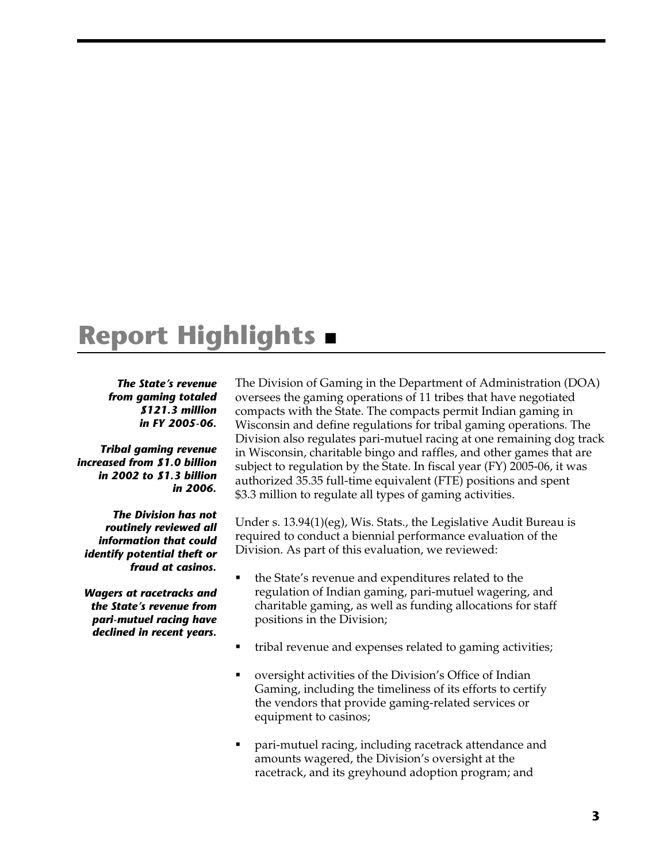# <span id="page-6-0"></span>**Report Highlights**

### *The State's revenue from gaming totaled \$121.3 million in FY 2005-06.*

*Tribal gaming revenue increased from \$1.0 billion in 2002 to \$1.3 billion in 2006.* 

*The Division has not routinely reviewed all information that could identify potential theft or fraud at casinos.* 

*Wagers at racetracks and the State's revenue from pari-mutuel racing have declined in recent years.* 

The Division of Gaming in the Department of Administration (DOA) oversees the gaming operations of 11 tribes that have negotiated compacts with the State. The compacts permit Indian gaming in Wisconsin and define regulations for tribal gaming operations. The Division also regulates pari-mutuel racing at one remaining dog track in Wisconsin, charitable bingo and raffles, and other games that are subject to regulation by the State. In fiscal year (FY) 2005-06, it was authorized 35.35 full-time equivalent (FTE) positions and spent \$3.3 million to regulate all types of gaming activities.

Under s. 13.94(1)(eg), Wis. Stats., the Legislative Audit Bureau is required to conduct a biennial performance evaluation of the Division. As part of this evaluation, we reviewed:

- the State's revenue and expenditures related to the regulation of Indian gaming, pari-mutuel wagering, and charitable gaming, as well as funding allocations for staff positions in the Division;
- tribal revenue and expenses related to gaming activities;
- oversight activities of the Division's Office of Indian Gaming, including the timeliness of its efforts to certify the vendors that provide gaming-related services or equipment to casinos;
- pari-mutuel racing, including racetrack attendance and amounts wagered, the Division's oversight at the racetrack, and its greyhound adoption program; and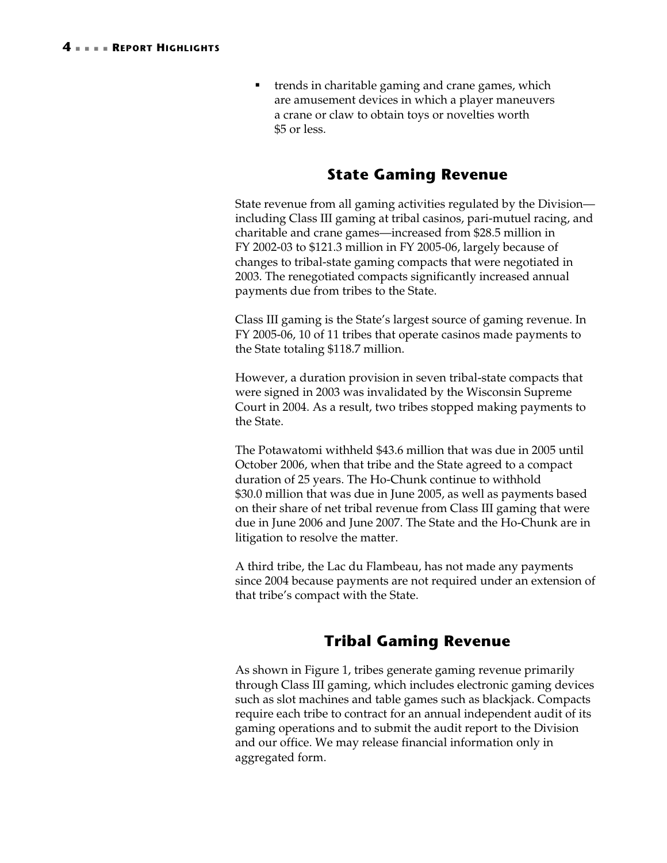■ trends in charitable gaming and crane games, which are amusement devices in which a player maneuvers a crane or claw to obtain toys or novelties worth \$5 or less.

# **State Gaming Revenue**

State revenue from all gaming activities regulated by the Division including Class III gaming at tribal casinos, pari-mutuel racing, and charitable and crane games—increased from \$28.5 million in FY 2002-03 to \$121.3 million in FY 2005-06, largely because of changes to tribal-state gaming compacts that were negotiated in 2003. The renegotiated compacts significantly increased annual payments due from tribes to the State.

Class III gaming is the State's largest source of gaming revenue. In FY 2005-06, 10 of 11 tribes that operate casinos made payments to the State totaling \$118.7 million.

However, a duration provision in seven tribal-state compacts that were signed in 2003 was invalidated by the Wisconsin Supreme Court in 2004. As a result, two tribes stopped making payments to the State.

The Potawatomi withheld \$43.6 million that was due in 2005 until October 2006, when that tribe and the State agreed to a compact duration of 25 years. The Ho-Chunk continue to withhold \$30.0 million that was due in June 2005, as well as payments based on their share of net tribal revenue from Class III gaming that were due in June 2006 and June 2007. The State and the Ho-Chunk are in litigation to resolve the matter.

A third tribe, the Lac du Flambeau, has not made any payments since 2004 because payments are not required under an extension of that tribe's compact with the State.

# **Tribal Gaming Revenue**

As shown in [Figure 1,](#page-8-0) tribes generate gaming revenue primarily through Class III gaming, which includes electronic gaming devices such as slot machines and table games such as blackjack. Compacts require each tribe to contract for an annual independent audit of its gaming operations and to submit the audit report to the Division and our office. We may release financial information only in aggregated form.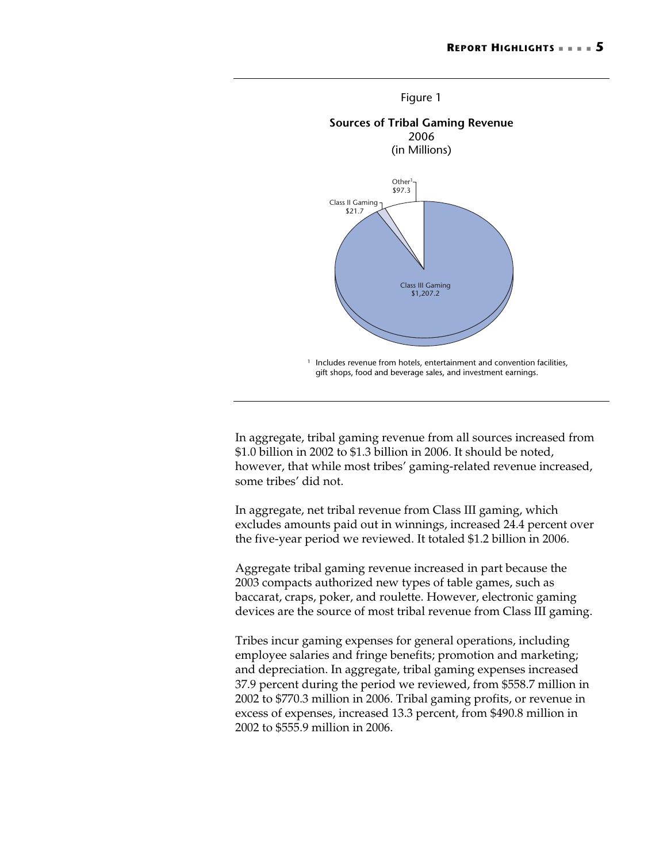<span id="page-8-0"></span>

In aggregate, tribal gaming revenue from all sources increased from \$1.0 billion in 2002 to \$1.3 billion in 2006. It should be noted, however, that while most tribes' gaming-related revenue increased, some tribes' did not.

In aggregate, net tribal revenue from Class III gaming, which excludes amounts paid out in winnings, increased 24.4 percent over the five-year period we reviewed. It totaled \$1.2 billion in 2006.

Aggregate tribal gaming revenue increased in part because the 2003 compacts authorized new types of table games, such as baccarat, craps, poker, and roulette. However, electronic gaming devices are the source of most tribal revenue from Class III gaming.

Tribes incur gaming expenses for general operations, including employee salaries and fringe benefits; promotion and marketing; and depreciation. In aggregate, tribal gaming expenses increased 37.9 percent during the period we reviewed, from \$558.7 million in 2002 to \$770.3 million in 2006. Tribal gaming profits, or revenue in excess of expenses, increased 13.3 percent, from \$490.8 million in 2002 to \$555.9 million in 2006.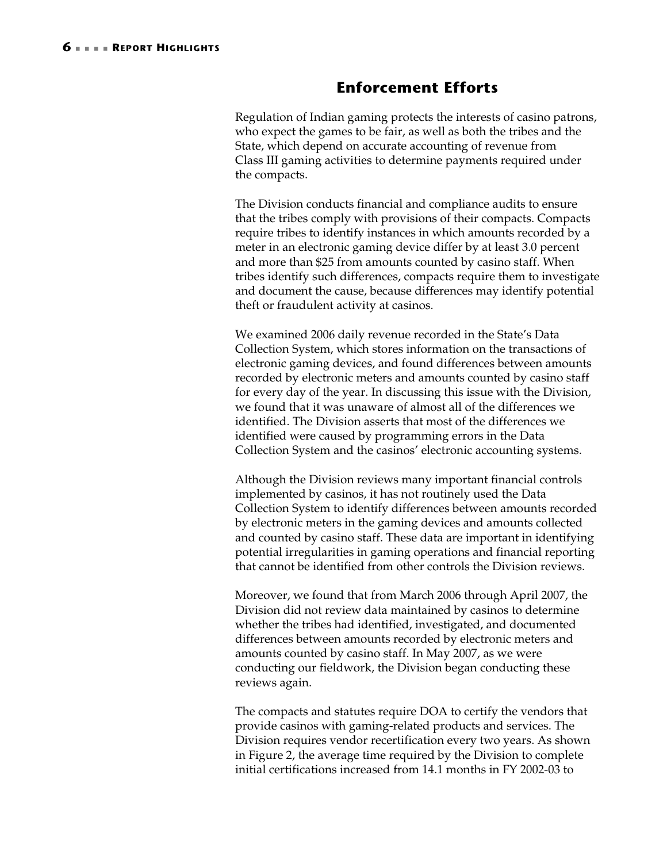## **Enforcement Efforts**

Regulation of Indian gaming protects the interests of casino patrons, who expect the games to be fair, as well as both the tribes and the State, which depend on accurate accounting of revenue from Class III gaming activities to determine payments required under the compacts.

The Division conducts financial and compliance audits to ensure that the tribes comply with provisions of their compacts. Compacts require tribes to identify instances in which amounts recorded by a meter in an electronic gaming device differ by at least 3.0 percent and more than \$25 from amounts counted by casino staff. When tribes identify such differences, compacts require them to investigate and document the cause, because differences may identify potential theft or fraudulent activity at casinos.

We examined 2006 daily revenue recorded in the State's Data Collection System, which stores information on the transactions of electronic gaming devices, and found differences between amounts recorded by electronic meters and amounts counted by casino staff for every day of the year. In discussing this issue with the Division, we found that it was unaware of almost all of the differences we identified. The Division asserts that most of the differences we identified were caused by programming errors in the Data Collection System and the casinos' electronic accounting systems.

Although the Division reviews many important financial controls implemented by casinos, it has not routinely used the Data Collection System to identify differences between amounts recorded by electronic meters in the gaming devices and amounts collected and counted by casino staff. These data are important in identifying potential irregularities in gaming operations and financial reporting that cannot be identified from other controls the Division reviews.

Moreover, we found that from March 2006 through April 2007, the Division did not review data maintained by casinos to determine whether the tribes had identified, investigated, and documented differences between amounts recorded by electronic meters and amounts counted by casino staff. In May 2007, as we were conducting our fieldwork, the Division began conducting these reviews again.

The compacts and statutes require DOA to certify the vendors that provide casinos with gaming-related products and services. The Division requires vendor recertification every two years. As shown in Figure 2, the average time required by the Division to complete initial certifications increased from 14.1 months in FY 2002-03 to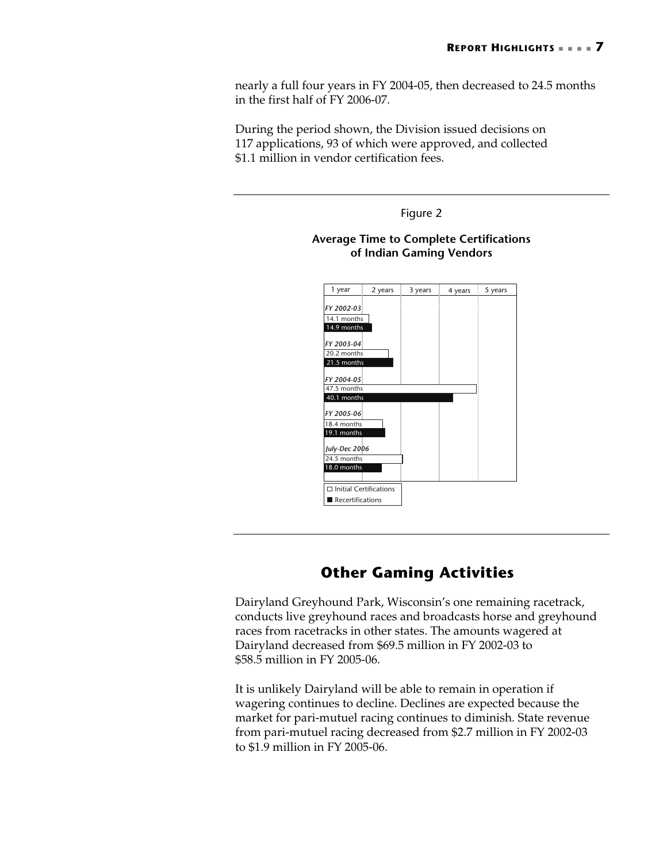nearly a full four years in FY 2004-05, then decreased to 24.5 months in the first half of FY 2006-07.

During the period shown, the Division issued decisions on 117 applications, 93 of which were approved, and collected \$1.1 million in vendor certification fees.



# **Other Gaming Activities**

Dairyland Greyhound Park, Wisconsin's one remaining racetrack, conducts live greyhound races and broadcasts horse and greyhound races from racetracks in other states. The amounts wagered at Dairyland decreased from \$69.5 million in FY 2002-03 to \$58.5 million in FY 2005-06.

It is unlikely Dairyland will be able to remain in operation if wagering continues to decline. Declines are expected because the market for pari-mutuel racing continues to diminish. State revenue from pari-mutuel racing decreased from \$2.7 million in FY 2002-03 to \$1.9 million in FY 2005-06.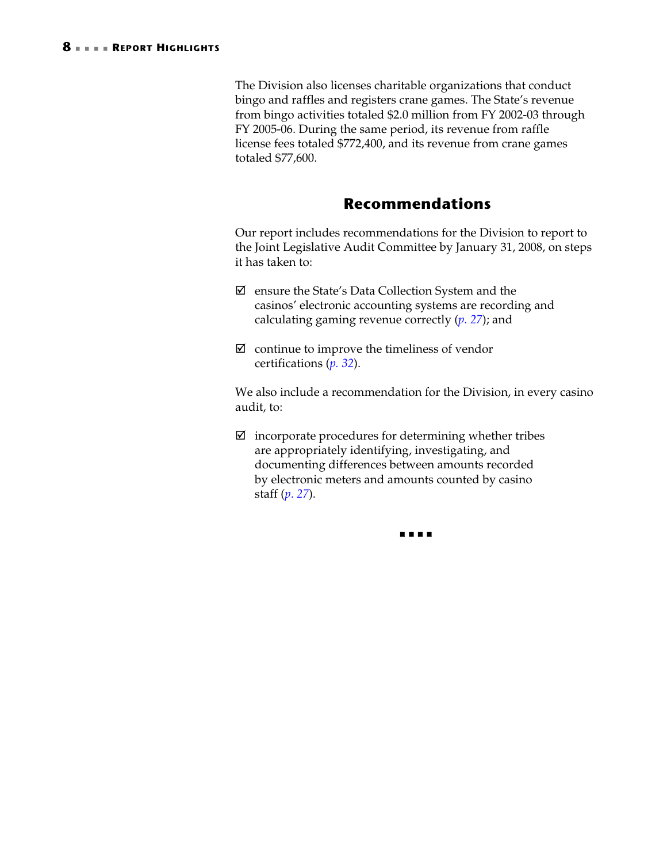The Division also licenses charitable organizations that conduct bingo and raffles and registers crane games. The State's revenue from bingo activities totaled \$2.0 million from FY 2002-03 through FY 2005-06. During the same period, its revenue from raffle license fees totaled \$772,400, and its revenue from crane games totaled \$77,600.

## **Recommendations**

Our report includes recommendations for the Division to report to the Joint Legislative Audit Committee by January 31, 2008, on steps it has taken to:

- $\boxtimes$  ensure the State's Data Collection System and the casinos' electronic accounting systems are recording and calculating gaming revenue correctly (*[p. 27](#page-30-1)*); and
- $\boxtimes$  continue to improve the timeliness of vendor certifications (*[p. 32](#page-35-0)*).

We also include a recommendation for the Division, in every casino audit, to:

 $\boxtimes$  incorporate procedures for determining whether tribes are appropriately identifying, investigating, and documenting differences between amounts recorded by electronic meters and amounts counted by casino staff (*p*. *[27](#page-30-1)*).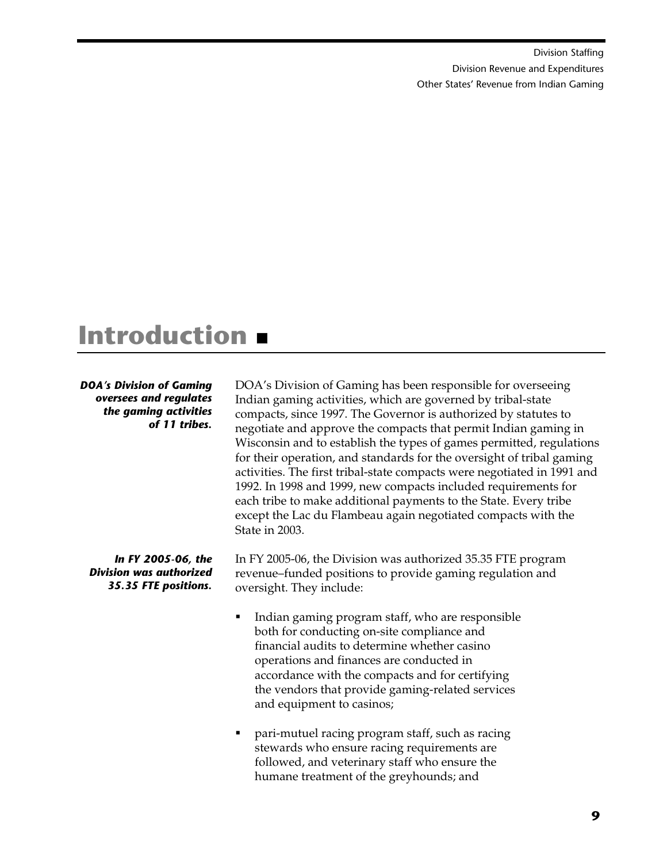[Division Staffing](#page-13-1)  [Division Revenue and Expenditures](#page-14-1)  [Other States' Revenue from Indian Gaming](#page-17-1)

# <span id="page-12-0"></span>**Introduction**

### *DOA's Division of Gaming oversees and regulates the gaming activities of 11 tribes.*

*In FY 2005-06, the Division was authorized 35.35 FTE positions.* 

DOA's Division of Gaming has been responsible for overseeing Indian gaming activities, which are governed by tribal-state compacts, since 1997. The Governor is authorized by statutes to negotiate and approve the compacts that permit Indian gaming in Wisconsin and to establish the types of games permitted, regulations for their operation, and standards for the oversight of tribal gaming activities. The first tribal-state compacts were negotiated in 1991 and 1992. In 1998 and 1999, new compacts included requirements for each tribe to make additional payments to the State. Every tribe except the Lac du Flambeau again negotiated compacts with the State in 2003.

In FY 2005-06, the Division was authorized 35.35 FTE program revenue–funded positions to provide gaming regulation and oversight. They include:

- Indian gaming program staff, who are responsible both for conducting on-site compliance and financial audits to determine whether casino operations and finances are conducted in accordance with the compacts and for certifying the vendors that provide gaming-related services and equipment to casinos;
- pari-mutuel racing program staff, such as racing stewards who ensure racing requirements are followed, and veterinary staff who ensure the humane treatment of the greyhounds; and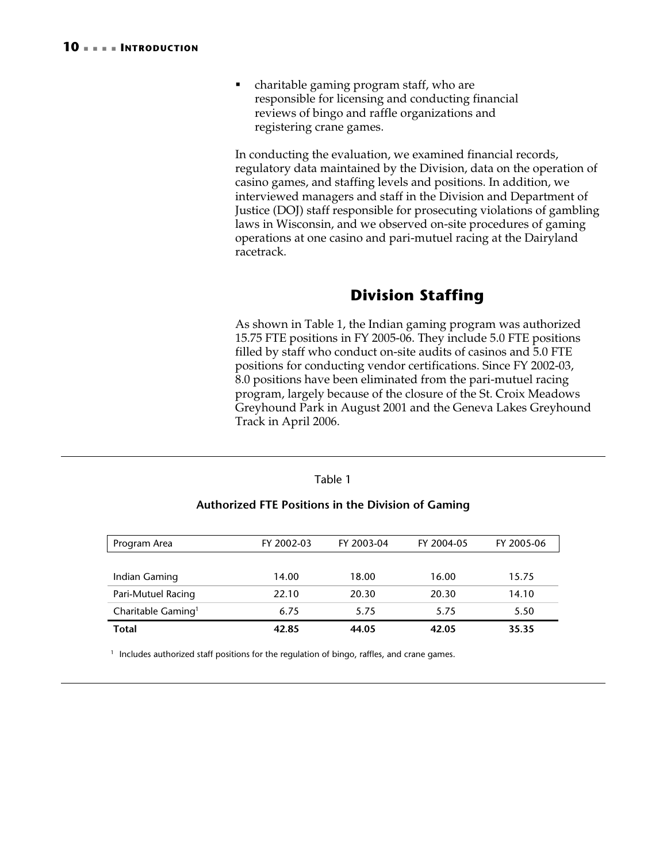<span id="page-13-1"></span> charitable gaming program staff, who are responsible for licensing and conducting financial reviews of bingo and raffle organizations and registering crane games.

In conducting the evaluation, we examined financial records, regulatory data maintained by the Division, data on the operation of casino games, and staffing levels and positions. In addition, we interviewed managers and staff in the Division and Department of Justice (DOJ) staff responsible for prosecuting violations of gambling laws in Wisconsin, and we observed on-site procedures of gaming operations at one casino and pari-mutuel racing at the Dairyland racetrack.

# <span id="page-13-0"></span>**Division Staffing**

As shown in [Table 1,](#page-13-2) the Indian gaming program was authorized 15.75 FTE positions in FY 2005-06. They include 5.0 FTE positions filled by staff who conduct on-site audits of casinos and 5.0 FTE positions for conducting vendor certifications. Since FY 2002-03, 8.0 positions have been eliminated from the pari-mutuel racing program, largely because of the closure of the St. Croix Meadows Greyhound Park in August 2001 and the Geneva Lakes Greyhound Track in April 2006.

| Authorized FTE Positions in the Division of Gaming |            |            |            |            |  |  |
|----------------------------------------------------|------------|------------|------------|------------|--|--|
|                                                    |            |            |            |            |  |  |
| Program Area                                       | FY 2002-03 | FY 2003-04 | FY 2004-05 | FY 2005-06 |  |  |
|                                                    |            |            |            |            |  |  |
| Indian Gaming                                      | 14.00      | 18.00      | 16.00      | 15.75      |  |  |
| Pari-Mutuel Racing                                 | 22.10      | 20.30      | 20.30      | 14.10      |  |  |
| Charitable Gaming <sup>1</sup>                     | 6.75       | 5.75       | 5.75       | 5.50       |  |  |
| Total                                              | 42.85      | 44.05      | 42.05      | 35.35      |  |  |

<span id="page-13-2"></span>Table 1

<sup>1</sup> Includes authorized staff positions for the regulation of bingo, raffles, and crane games.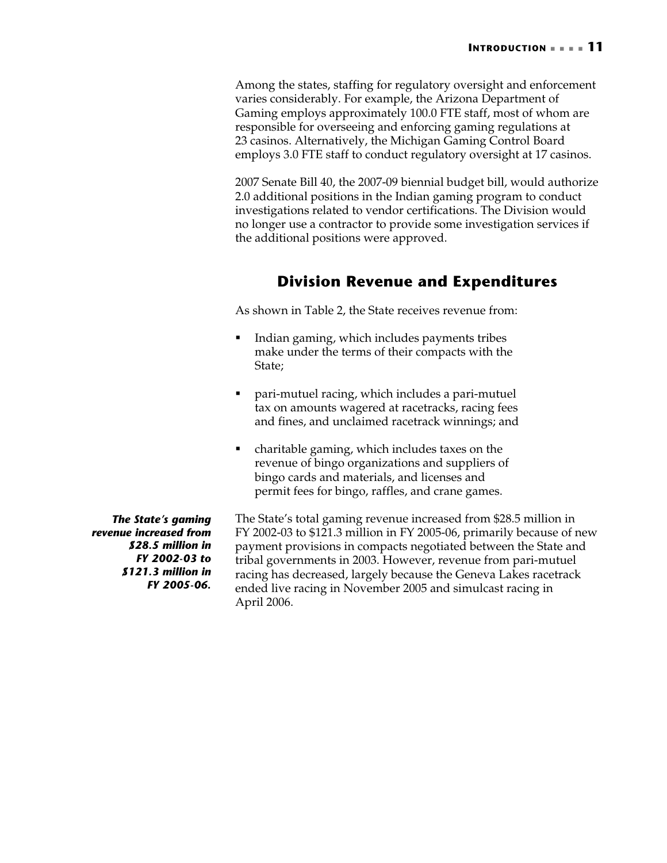<span id="page-14-1"></span>Among the states, staffing for regulatory oversight and enforcement varies considerably. For example, the Arizona Department of Gaming employs approximately 100.0 FTE staff, most of whom are responsible for overseeing and enforcing gaming regulations at 23 casinos. Alternatively, the Michigan Gaming Control Board employs 3.0 FTE staff to conduct regulatory oversight at 17 casinos.

2007 Senate Bill 40, the 2007-09 biennial budget bill, would authorize 2.0 additional positions in the Indian gaming program to conduct investigations related to vendor certifications. The Division would no longer use a contractor to provide some investigation services if the additional positions were approved.

# <span id="page-14-0"></span>**Division Revenue and Expenditures**

As shown in [Table 2,](#page-15-0) the State receives revenue from:

- Indian gaming, which includes payments tribes make under the terms of their compacts with the State;
- pari-mutuel racing, which includes a pari-mutuel tax on amounts wagered at racetracks, racing fees and fines, and unclaimed racetrack winnings; and
- charitable gaming, which includes taxes on the revenue of bingo organizations and suppliers of bingo cards and materials, and licenses and permit fees for bingo, raffles, and crane games.

*The State's gaming revenue increased from \$28.5 million in FY 2002-03 to \$121.3 million in FY 2005-06.*  The State's total gaming revenue increased from \$28.5 million in FY 2002-03 to \$121.3 million in FY 2005-06, primarily because of new payment provisions in compacts negotiated between the State and tribal governments in 2003. However, revenue from pari-mutuel racing has decreased, largely because the Geneva Lakes racetrack ended live racing in November 2005 and simulcast racing in April 2006.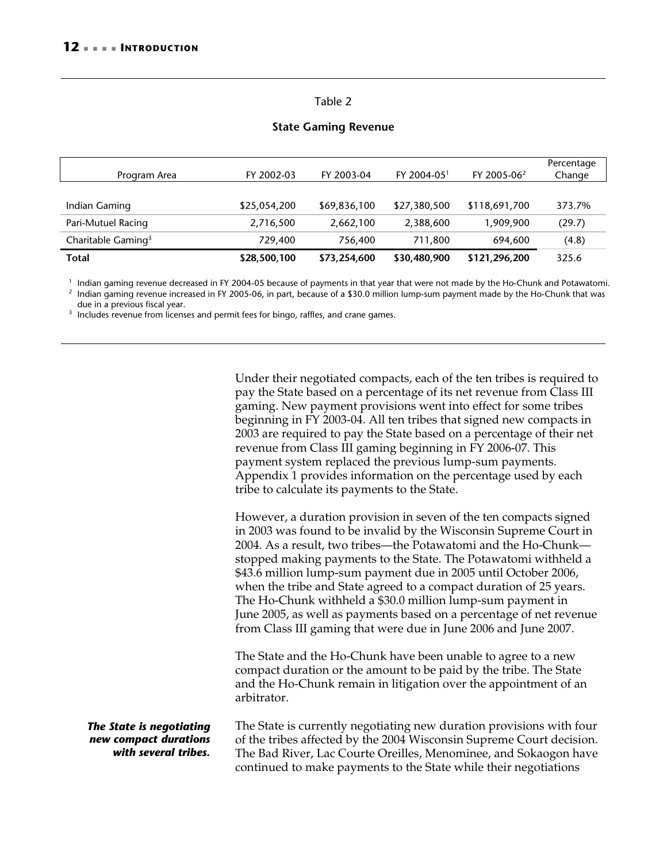### <span id="page-15-0"></span>Table 2

### **State Gaming Revenue**

| Program Area                   | FY 2002-03   | FY 2003-04   | FY 2004-05 <sup>1</sup> | FY 2005-06 <sup>2</sup> | Percentage<br>Change |
|--------------------------------|--------------|--------------|-------------------------|-------------------------|----------------------|
|                                |              |              |                         |                         |                      |
| Indian Gaming                  | \$25,054,200 | \$69,836,100 | \$27,380,500            | \$118,691,700           | 373.7%               |
| Pari-Mutuel Racing             | 2,716,500    | 2,662,100    | 2,388,600               | 1,909,900               | (29.7)               |
| Charitable Gaming <sup>3</sup> | 729,400      | 756,400      | 711.800                 | 694,600                 | (4.8)                |
| <b>Total</b>                   | \$28,500,100 | \$73,254,600 | \$30,480,900            | \$121,296,200           | 325.6                |

<sup>1</sup> Indian gaming revenue decreased in FY 2004-05 because of payments in that year that were not made by the Ho-Chunk and Potawatomi.<br><sup>2</sup> Indian gaming revenue increased in FY 2005-06, in part, because of a \$30.0 million

due in a previous fiscal year.<br><sup>3</sup> Includes revenue from licenses and permit fees for bingo, raffles, and crane games.

Under their negotiated compacts, each of the ten tribes is required to pay the State based on a percentage of its net revenue from Class III gaming. New payment provisions went into effect for some tribes beginning in FY 2003-04. All ten tribes that signed new compacts in 2003 are required to pay the State based on a percentage of their net revenue from Class III gaming beginning in FY 2006-07. This payment system replaced the previous lump-sum payments. Appendix 1 provides information on the percentage used by each tribe to calculate its payments to the State.

However, a duration provision in seven of the ten compacts signed in 2003 was found to be invalid by the Wisconsin Supreme Court in 2004. As a result, two tribes—the Potawatomi and the Ho-Chunk stopped making payments to the State. The Potawatomi withheld a \$43.6 million lump-sum payment due in 2005 until October 2006, when the tribe and State agreed to a compact duration of 25 years. The Ho-Chunk withheld a \$30.0 million lump-sum payment in June 2005, as well as payments based on a percentage of net revenue from Class III gaming that were due in June 2006 and June 2007.

The State and the Ho-Chunk have been unable to agree to a new compact duration or the amount to be paid by the tribe. The State and the Ho-Chunk remain in litigation over the appointment of an arbitrator.

*The State is negotiating new compact durations with several tribes.*  The State is currently negotiating new duration provisions with four of the tribes affected by the 2004 Wisconsin Supreme Court decision. The Bad River, Lac Courte Oreilles, Menominee, and Sokaogon have continued to make payments to the State while their negotiations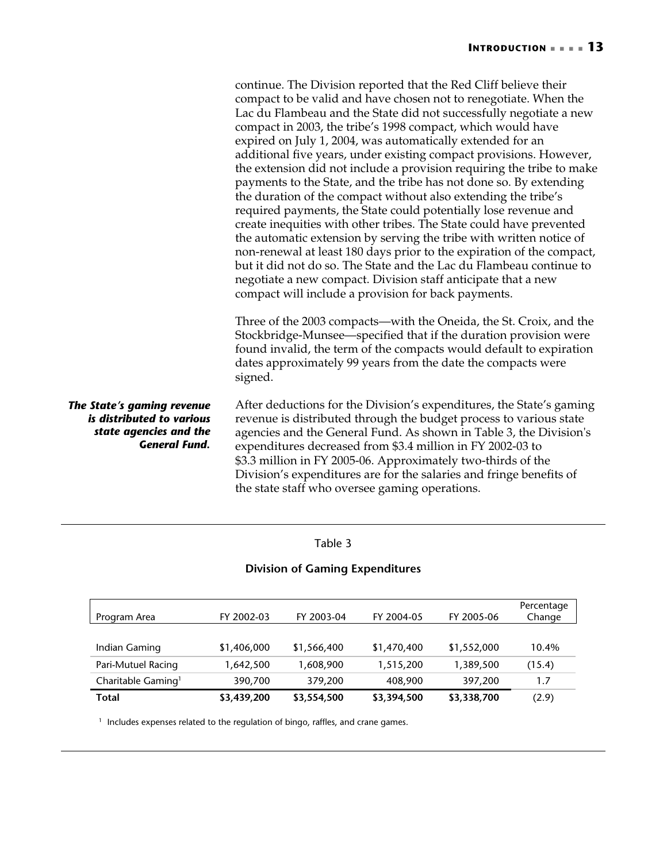|                                                                                                           | continue. The Division reported that the Red Cliff believe their<br>compact to be valid and have chosen not to renegotiate. When the<br>Lac du Flambeau and the State did not successfully negotiate a new<br>compact in 2003, the tribe's 1998 compact, which would have<br>expired on July 1, 2004, was automatically extended for an<br>additional five years, under existing compact provisions. However,<br>the extension did not include a provision requiring the tribe to make<br>payments to the State, and the tribe has not done so. By extending<br>the duration of the compact without also extending the tribe's<br>required payments, the State could potentially lose revenue and<br>create inequities with other tribes. The State could have prevented<br>the automatic extension by serving the tribe with written notice of<br>non-renewal at least 180 days prior to the expiration of the compact,<br>but it did not do so. The State and the Lac du Flambeau continue to<br>negotiate a new compact. Division staff anticipate that a new<br>compact will include a provision for back payments.<br>Three of the 2003 compacts—with the Oneida, the St. Croix, and the |
|-----------------------------------------------------------------------------------------------------------|-----------------------------------------------------------------------------------------------------------------------------------------------------------------------------------------------------------------------------------------------------------------------------------------------------------------------------------------------------------------------------------------------------------------------------------------------------------------------------------------------------------------------------------------------------------------------------------------------------------------------------------------------------------------------------------------------------------------------------------------------------------------------------------------------------------------------------------------------------------------------------------------------------------------------------------------------------------------------------------------------------------------------------------------------------------------------------------------------------------------------------------------------------------------------------------------------|
|                                                                                                           | Stockbridge-Munsee—specified that if the duration provision were<br>found invalid, the term of the compacts would default to expiration<br>dates approximately 99 years from the date the compacts were<br>signed.                                                                                                                                                                                                                                                                                                                                                                                                                                                                                                                                                                                                                                                                                                                                                                                                                                                                                                                                                                            |
| The State's gaming revenue<br>is distributed to various<br>state agencies and the<br><b>General Fund.</b> | After deductions for the Division's expenditures, the State's gaming<br>revenue is distributed through the budget process to various state<br>agencies and the General Fund. As shown in Table 3, the Division's<br>expenditures decreased from \$3.4 million in FY 2002-03 to<br>\$3.3 million in FY 2005-06. Approximately two-thirds of the<br>Division's expenditures are for the salaries and fringe benefits of<br>the state staff who oversee gaming operations.                                                                                                                                                                                                                                                                                                                                                                                                                                                                                                                                                                                                                                                                                                                       |

## <span id="page-16-0"></span>Table 3

## **Division of Gaming Expenditures**

| Program Area                   | FY 2002-03  | FY 2003-04  | FY 2004-05  | FY 2005-06  | Percentage<br>Change |
|--------------------------------|-------------|-------------|-------------|-------------|----------------------|
|                                |             |             |             |             |                      |
| Indian Gaming                  | \$1,406,000 | \$1,566,400 | \$1,470,400 | \$1,552,000 | 10.4%                |
| Pari-Mutuel Racing             | 1,642,500   | 1,608,900   | 1,515,200   | 1,389,500   | (15.4)               |
| Charitable Gaming <sup>1</sup> | 390,700     | 379,200     | 408,900     | 397,200     | 1.7                  |
| <b>Total</b>                   | \$3,439,200 | \$3,554,500 | \$3,394,500 | \$3,338,700 | (2.9)                |

 $^1\,$  Includes expenses related to the regulation of bingo, raffles, and crane games.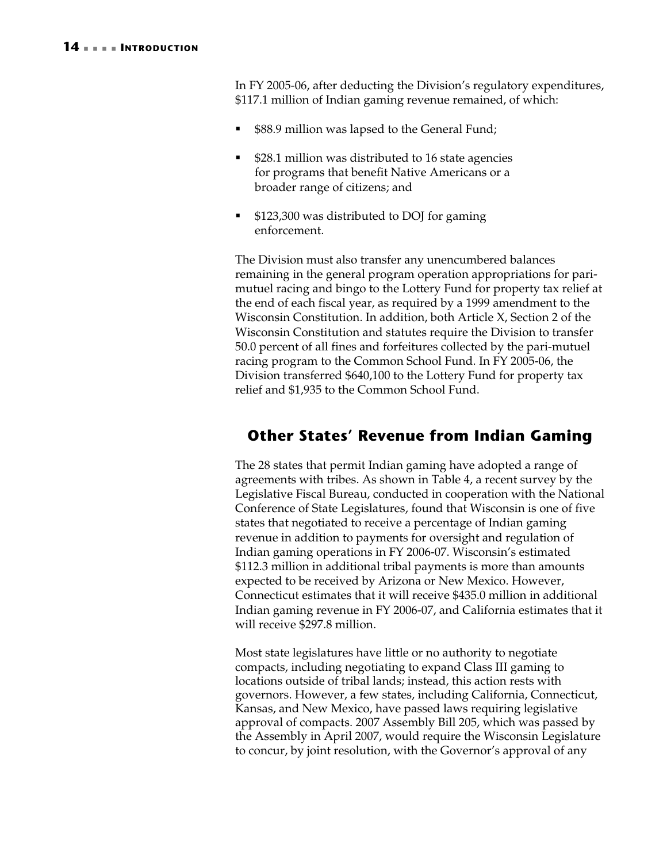<span id="page-17-1"></span>In FY 2005-06, after deducting the Division's regulatory expenditures, \$117.1 million of Indian gaming revenue remained, of which:

- \$88.9 million was lapsed to the General Fund;
- \$28.1 million was distributed to 16 state agencies for programs that benefit Native Americans or a broader range of citizens; and
- \$123,300 was distributed to DOJ for gaming enforcement.

The Division must also transfer any unencumbered balances remaining in the general program operation appropriations for parimutuel racing and bingo to the Lottery Fund for property tax relief at the end of each fiscal year, as required by a 1999 amendment to the Wisconsin Constitution. In addition, both Article X, Section 2 of the Wisconsin Constitution and statutes require the Division to transfer 50.0 percent of all fines and forfeitures collected by the pari-mutuel racing program to the Common School Fund. In FY 2005-06, the Division transferred \$640,100 to the Lottery Fund for property tax relief and \$1,935 to the Common School Fund.

# <span id="page-17-0"></span>**Other States' Revenue from Indian Gaming**

The 28 states that permit Indian gaming have adopted a range of agreements with tribes. As shown in [Table 4,](#page-18-0) a recent survey by the Legislative Fiscal Bureau, conducted in cooperation with the National Conference of State Legislatures, found that Wisconsin is one of five states that negotiated to receive a percentage of Indian gaming revenue in addition to payments for oversight and regulation of Indian gaming operations in FY 2006-07. Wisconsin's estimated \$112.3 million in additional tribal payments is more than amounts expected to be received by Arizona or New Mexico. However, Connecticut estimates that it will receive \$435.0 million in additional Indian gaming revenue in FY 2006-07, and California estimates that it will receive \$297.8 million.

Most state legislatures have little or no authority to negotiate compacts, including negotiating to expand Class III gaming to locations outside of tribal lands; instead, this action rests with governors. However, a few states, including California, Connecticut, Kansas, and New Mexico, have passed laws requiring legislative approval of compacts. 2007 Assembly Bill 205, which was passed by the Assembly in April 2007, would require the Wisconsin Legislature to concur, by joint resolution, with the Governor's approval of any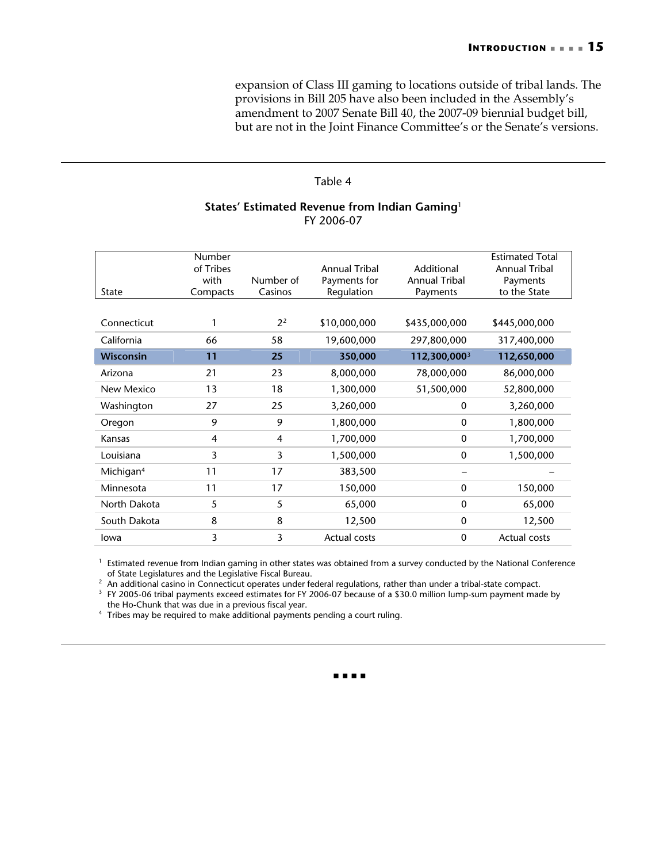expansion of Class III gaming to locations outside of tribal lands. The provisions in Bill 205 have also been included in the Assembly's amendment to 2007 Senate Bill 40, the 2007-09 biennial budget bill, but are not in the Joint Finance Committee's or the Senate's versions.

### <span id="page-18-0"></span>Table 4

### **States' Estimated Revenue from Indian Gaming**<sup>1</sup> FY 2006-07

| <b>State</b>          | Number<br>of Tribes<br>with<br>Compacts | Number of<br>Casinos | Annual Tribal<br>Payments for<br>Regulation | Additional<br><b>Annual Tribal</b><br>Payments | <b>Estimated Total</b><br><b>Annual Tribal</b><br>Payments<br>to the State |
|-----------------------|-----------------------------------------|----------------------|---------------------------------------------|------------------------------------------------|----------------------------------------------------------------------------|
| Connecticut           |                                         | 2 <sup>2</sup>       | \$10,000,000                                | \$435,000,000                                  | \$445,000,000                                                              |
| California            | 66                                      | 58                   | 19,600,000                                  | 297,800,000                                    | 317,400,000                                                                |
| <b>Wisconsin</b>      | 11                                      | 25                   | 350,000                                     | 112,300,000 <sup>3</sup>                       | 112,650,000                                                                |
| Arizona               | 21                                      | 23                   | 8,000,000                                   | 78,000,000                                     | 86,000,000                                                                 |
| New Mexico            | 13                                      | 18                   | 1,300,000                                   | 51,500,000                                     | 52,800,000                                                                 |
| Washington            | 27                                      | 25                   | 3,260,000                                   | $\Omega$                                       | 3,260,000                                                                  |
| Oregon                | 9                                       | 9                    | 1,800,000                                   | $\mathbf{0}$                                   | 1,800,000                                                                  |
| Kansas                | $\overline{4}$                          | $\overline{4}$       | 1,700,000                                   | $\mathbf{0}$                                   | 1,700,000                                                                  |
| Louisiana             | 3                                       | 3                    | 1,500,000                                   | $\mathbf{0}$                                   | 1,500,000                                                                  |
| Michigan <sup>4</sup> | 11                                      | 17                   | 383,500                                     |                                                |                                                                            |
| Minnesota             | 11                                      | 17                   | 150,000                                     | $\mathbf{0}$                                   | 150,000                                                                    |
| North Dakota          | 5                                       | 5                    | 65,000                                      | $\mathbf{0}$                                   | 65,000                                                                     |
| South Dakota          | 8                                       | 8                    | 12,500                                      | $\mathbf{0}$                                   | 12,500                                                                     |
| lowa                  | 3                                       | 3                    | <b>Actual costs</b>                         | $\mathbf{0}$                                   | <b>Actual costs</b>                                                        |

<sup>1</sup> Estimated revenue from Indian gaming in other states was obtained from a survey conducted by the National Conference

of State Legislatures and the Legislative Fiscal Bureau.<br>
<sup>2</sup> An additional casino in Connecticut operates under federal regulations, rather than under a tribal-state compact.<br>
<sup>3</sup> FY 2005-06 tribal payments exceed estimat

the Ho-Chunk that was due in a previous fiscal year. 4 Tribes may be required to make additional payments pending a court ruling.

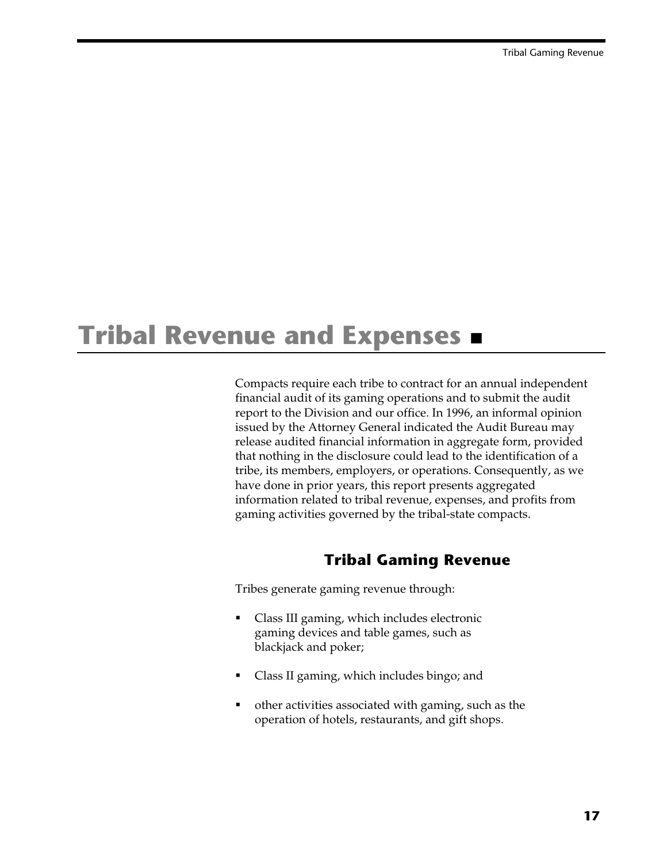# <span id="page-20-0"></span>**Tribal Revenue and Expenses**

Compacts require each tribe to contract for an annual independent financial audit of its gaming operations and to submit the audit report to the Division and our office. In 1996, an informal opinion issued by the Attorney General indicated the Audit Bureau may release audited financial information in aggregate form, provided that nothing in the disclosure could lead to the identification of a tribe, its members, employers, or operations. Consequently, as we have done in prior years, this report presents aggregated information related to tribal revenue, expenses, and profits from gaming activities governed by the tribal-state compacts.

## <span id="page-20-1"></span>**Tribal Gaming Revenue**

Tribes generate gaming revenue through:

- Class III gaming, which includes electronic gaming devices and table games, such as blackjack and poker;
- Class II gaming, which includes bingo; and
- other activities associated with gaming, such as the operation of hotels, restaurants, and gift shops.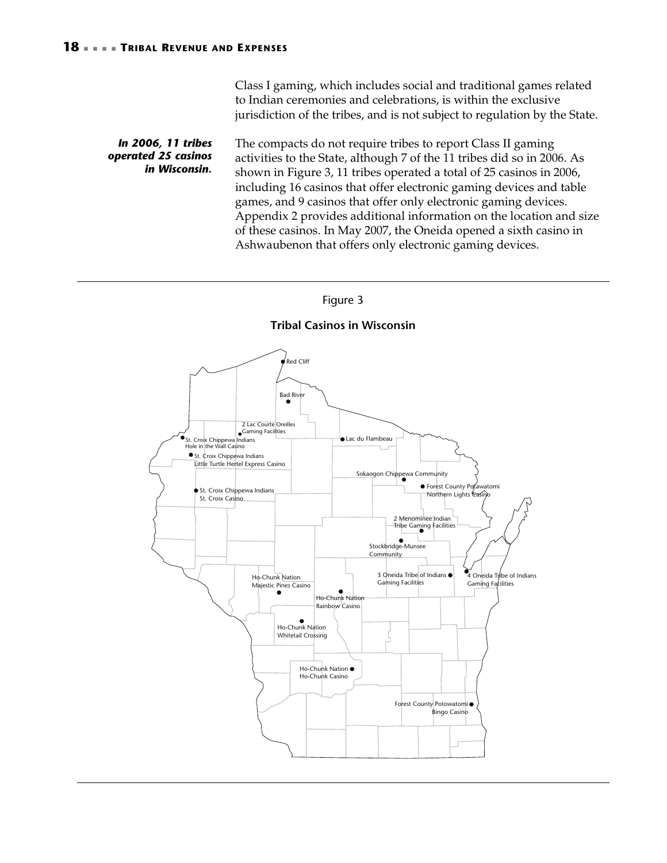Class I gaming, which includes social and traditional games related to Indian ceremonies and celebrations, is within the exclusive jurisdiction of the tribes, and is not subject to regulation by the State.

The compacts do not require tribes to report Class II gaming activities to the State, although 7 of the 11 tribes did so in 2006. As shown in Figure 3, 11 tribes operated a total of 25 casinos in 2006, including 16 casinos that offer electronic gaming devices and table games, and 9 casinos that offer only electronic gaming devices. Appendix 2 provides additional information on the location and size of these casinos. In May 2007, the Oneida opened a sixth casino in Ashwaubenon that offers only electronic gaming devices. *In 2006, 11 tribes operated 25 casinos in Wisconsin.* 

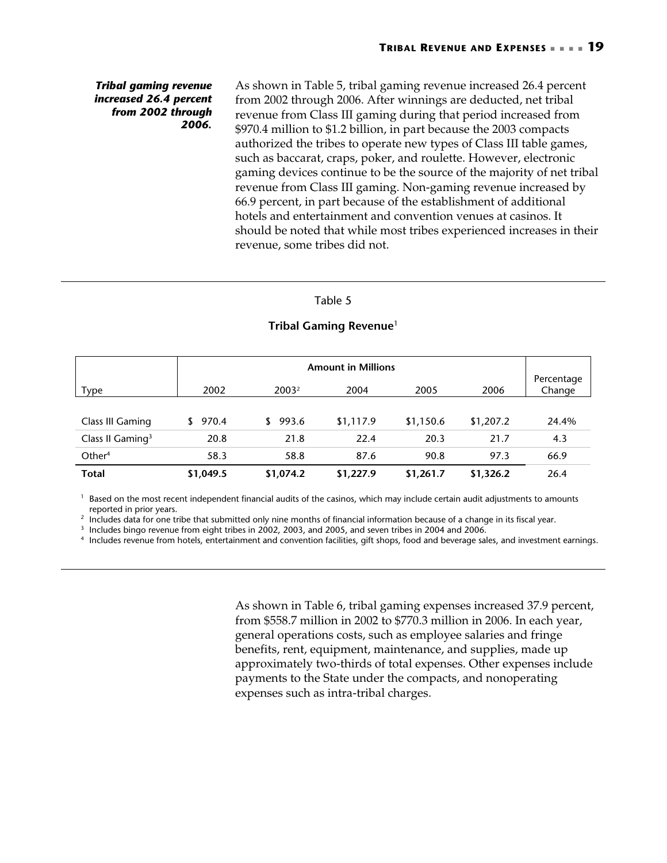### *Tribal gaming revenue increased 26.4 percent from 2002 through 2006.*

As shown in [Table 5,](#page-22-0) tribal gaming revenue increased 26.4 percent from 2002 through 2006. After winnings are deducted, net tribal revenue from Class III gaming during that period increased from \$970.4 million to \$1.2 billion, in part because the 2003 compacts authorized the tribes to operate new types of Class III table games, such as baccarat, craps, poker, and roulette. However, electronic gaming devices continue to be the source of the majority of net tribal revenue from Class III gaming. Non-gaming revenue increased by 66.9 percent, in part because of the establishment of additional hotels and entertainment and convention venues at casinos. It should be noted that while most tribes experienced increases in their revenue, some tribes did not.

### <span id="page-22-0"></span>Table 5

|                              |              | <b>Amount in Millions</b> |           |           |           |                      |  |
|------------------------------|--------------|---------------------------|-----------|-----------|-----------|----------------------|--|
| <b>Type</b>                  | 2002         | 2003 <sup>2</sup>         | 2004      | 2005      | 2006      | Percentage<br>Change |  |
| Class III Gaming             | 970.4<br>\$. | 993.6<br>\$               | \$1,117.9 | \$1,150.6 | \$1,207.2 | 24.4%                |  |
| Class II Gaming <sup>3</sup> | 20.8         | 21.8                      | 22.4      | 20.3      | 21.7      | 4.3                  |  |
| Other <sup>4</sup>           | 58.3         | 58.8                      | 87.6      | 90.8      | 97.3      | 66.9                 |  |
| <b>Total</b>                 | \$1,049.5    | \$1,074.2                 | \$1,227.9 | \$1,261.7 | \$1,326.2 | 26.4                 |  |

### **Tribal Gaming Revenue**<sup>1</sup>

<sup>1</sup> Based on the most recent independent financial audits of the casinos, which may include certain audit adjustments to amounts

reported in prior years.<br>
<sup>2</sup> Includes data for one tribe that submitted only nine months of financial information because of a change in its fiscal year.<br>
<sup>3</sup> Includes bingo revenue from eight tribes in 2002, 2003, and 20

As shown in [Table 6,](#page-23-0) tribal gaming expenses increased 37.9 percent, from \$558.7 million in 2002 to \$770.3 million in 2006. In each year, general operations costs, such as employee salaries and fringe benefits, rent, equipment, maintenance, and supplies, made up approximately two-thirds of total expenses. Other expenses include payments to the State under the compacts, and nonoperating expenses such as intra-tribal charges.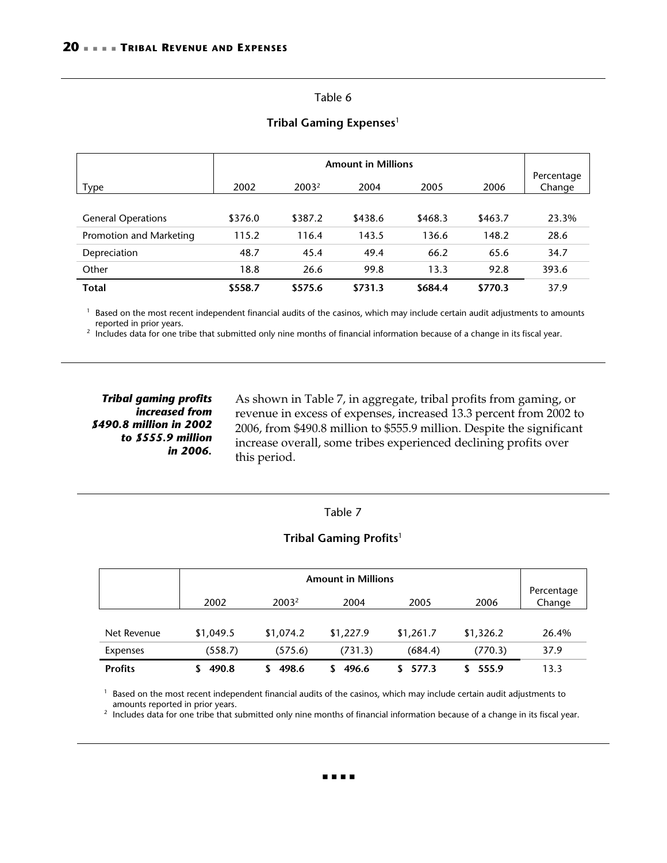### <span id="page-23-0"></span>Table 6

|                           |         | <b>Amount in Millions</b> |         |         |         |                      |
|---------------------------|---------|---------------------------|---------|---------|---------|----------------------|
| <b>Type</b>               | 2002    | 2003 <sup>2</sup>         | 2004    | 2005    | 2006    | Percentage<br>Change |
|                           |         |                           |         |         |         |                      |
| <b>General Operations</b> | \$376.0 | \$387.2                   | \$438.6 | \$468.3 | \$463.7 | 23.3%                |
| Promotion and Marketing   | 115.2   | 116.4                     | 143.5   | 136.6   | 148.2   | 28.6                 |
| Depreciation              | 48.7    | 45.4                      | 49.4    | 66.2    | 65.6    | 34.7                 |
| Other                     | 18.8    | 26.6                      | 99.8    | 13.3    | 92.8    | 393.6                |
| <b>Total</b>              | \$558.7 | \$575.6                   | \$731.3 | \$684.4 | \$770.3 | 37.9                 |

### **Tribal Gaming Expenses**<sup>1</sup>

<sup>1</sup> Based on the most recent independent financial audits of the casinos, which may include certain audit adjustments to amounts

reported in prior years.<br><sup>2</sup> Includes data for one tribe that submitted only nine months of financial information because of a change in its fiscal year.

### *Tribal gaming profits increased from \$490.8 million in 2002 to \$555.9 million in 2006.*

As shown in [Table 7,](#page-23-1) in aggregate, tribal profits from gaming, or revenue in excess of expenses, increased 13.3 percent from 2002 to 2006, from \$490.8 million to \$555.9 million. Despite the significant increase overall, some tribes experienced declining profits over this period.

### <span id="page-23-1"></span>Table 7

### **Tribal Gaming Profits**<sup>1</sup>

|                | 2002      | 2003 <sup>2</sup> | 2004      | 2005      | 2006      | Percentage<br>Change |
|----------------|-----------|-------------------|-----------|-----------|-----------|----------------------|
|                |           |                   |           |           |           |                      |
| Net Revenue    | \$1,049.5 | \$1,074.2         | \$1,227.9 | \$1,261.7 | \$1,326.2 | 26.4%                |
| Expenses       | (558.7)   | (575.6)           | (731.3)   | (684.4)   | (770.3)   | 37.9                 |
| <b>Profits</b> | 490.8     | 498.6             | 496.6     | 577.3     | 555.9     | 13.3                 |

 $1$  Based on the most recent independent financial audits of the casinos, which may include certain audit adjustments to

amounts reported in prior years.<br><sup>2</sup> Includes data for one tribe that submitted only nine months of financial information because of a change in its fiscal year.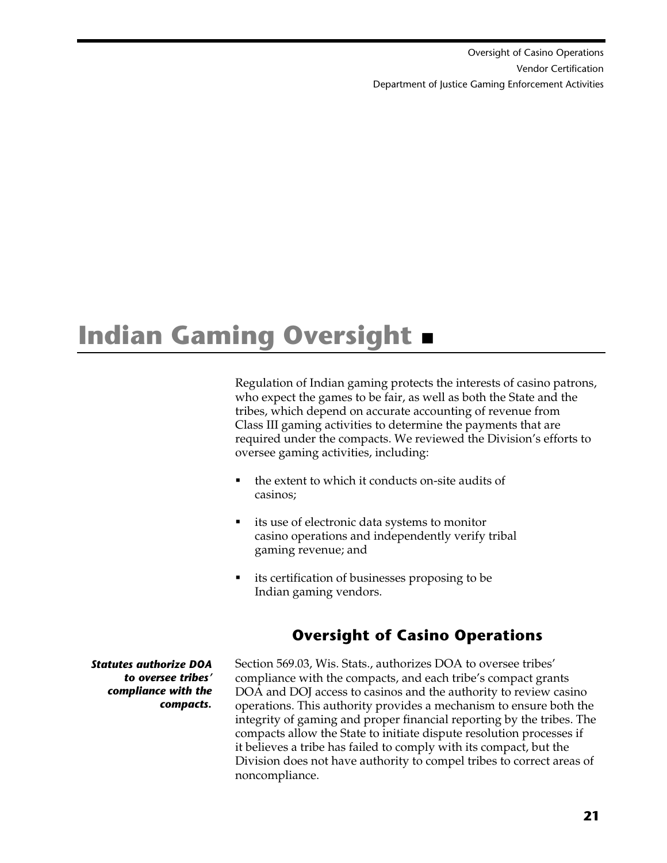Oversight of Casino Operations  [Vendor Certification](#page-31-1)  [Department of Justice Gaming Enforcement Activities](#page-36-1)

# <span id="page-24-0"></span>**Indian Gaming Oversight**

Regulation of Indian gaming protects the interests of casino patrons, who expect the games to be fair, as well as both the State and the tribes, which depend on accurate accounting of revenue from Class III gaming activities to determine the payments that are required under the compacts. We reviewed the Division's efforts to oversee gaming activities, including:

- the extent to which it conducts on-site audits of casinos;
- its use of electronic data systems to monitor casino operations and independently verify tribal gaming revenue; and
- its certification of businesses proposing to be Indian gaming vendors.

# <span id="page-24-1"></span>**Oversight of Casino Operations**

*Statutes authorize DOA to oversee tribes' compliance with the compacts.* 

Section 569.03, Wis. Stats., authorizes DOA to oversee tribes' compliance with the compacts, and each tribe's compact grants DOA and DOJ access to casinos and the authority to review casino operations. This authority provides a mechanism to ensure both the integrity of gaming and proper financial reporting by the tribes. The compacts allow the State to initiate dispute resolution processes if it believes a tribe has failed to comply with its compact, but the Division does not have authority to compel tribes to correct areas of noncompliance.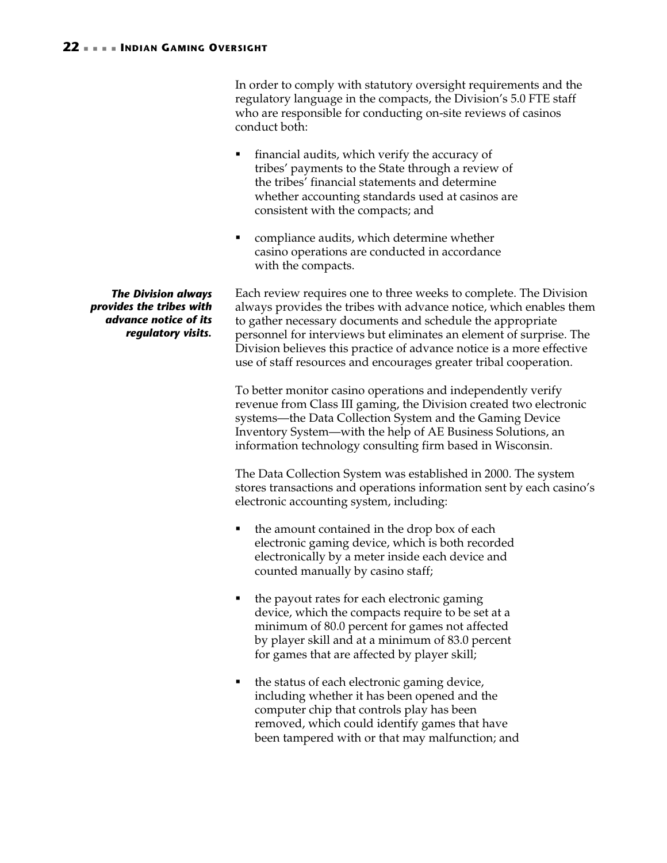In order to comply with statutory oversight requirements and the regulatory language in the compacts, the Division's 5.0 FTE staff who are responsible for conducting on-site reviews of casinos conduct both:

- financial audits, which verify the accuracy of tribes' payments to the State through a review of the tribes' financial statements and determine whether accounting standards used at casinos are consistent with the compacts; and
- compliance audits, which determine whether casino operations are conducted in accordance with the compacts.

Each review requires one to three weeks to complete. The Division always provides the tribes with advance notice, which enables them to gather necessary documents and schedule the appropriate personnel for interviews but eliminates an element of surprise. The Division believes this practice of advance notice is a more effective use of staff resources and encourages greater tribal cooperation.

To better monitor casino operations and independently verify revenue from Class III gaming, the Division created two electronic systems—the Data Collection System and the Gaming Device Inventory System—with the help of AE Business Solutions, an information technology consulting firm based in Wisconsin.

The Data Collection System was established in 2000. The system stores transactions and operations information sent by each casino's electronic accounting system, including:

- the amount contained in the drop box of each electronic gaming device, which is both recorded electronically by a meter inside each device and counted manually by casino staff;
- the payout rates for each electronic gaming device, which the compacts require to be set at a minimum of 80.0 percent for games not affected by player skill and at a minimum of 83.0 percent for games that are affected by player skill;
- the status of each electronic gaming device, including whether it has been opened and the computer chip that controls play has been removed, which could identify games that have been tampered with or that may malfunction; and

*The Division always provides the tribes with advance notice of its regulatory visits.*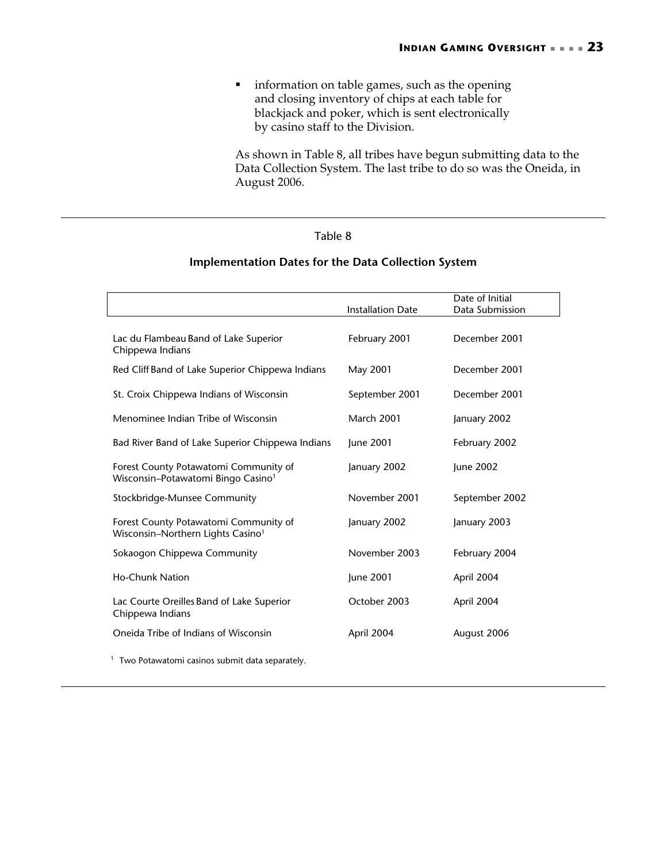**·** information on table games, such as the opening and closing inventory of chips at each table for blackjack and poker, which is sent electronically by casino staff to the Division.

As shown in [Table 8,](#page-26-0) all tribes have begun submitting data to the Data Collection System. The last tribe to do so was the Oneida, in August 2006.

### <span id="page-26-0"></span>Table 8

### **Implementation Dates for the Data Collection System**

|                                                                                         | <b>Installation Date</b> | Date of Initial<br>Data Submission |
|-----------------------------------------------------------------------------------------|--------------------------|------------------------------------|
|                                                                                         |                          |                                    |
| Lac du Flambeau Band of Lake Superior<br>Chippewa Indians                               | February 2001            | December 2001                      |
| Red Cliff Band of Lake Superior Chippewa Indians                                        | May 2001                 | December 2001                      |
| St. Croix Chippewa Indians of Wisconsin                                                 | September 2001           | December 2001                      |
| Menominee Indian Tribe of Wisconsin                                                     | <b>March 2001</b>        | January 2002                       |
| Bad River Band of Lake Superior Chippewa Indians                                        | June 2001                | February 2002                      |
| Forest County Potawatomi Community of<br>Wisconsin–Potawatomi Bingo Casino <sup>1</sup> | January 2002             | June 2002                          |
| Stockbridge-Munsee Community                                                            | November 2001            | September 2002                     |
| Forest County Potawatomi Community of<br>Wisconsin-Northern Lights Casino <sup>1</sup>  | January 2002             | January 2003                       |
| Sokaogon Chippewa Community                                                             | November 2003            | February 2004                      |
| <b>Ho-Chunk Nation</b>                                                                  | June 2001                | April 2004                         |
| Lac Courte Oreilles Band of Lake Superior<br>Chippewa Indians                           | October 2003             | April 2004                         |
| Oneida Tribe of Indians of Wisconsin                                                    | April 2004               | August 2006                        |
| <sup>1</sup> Two Potawatomi casinos submit data separately.                             |                          |                                    |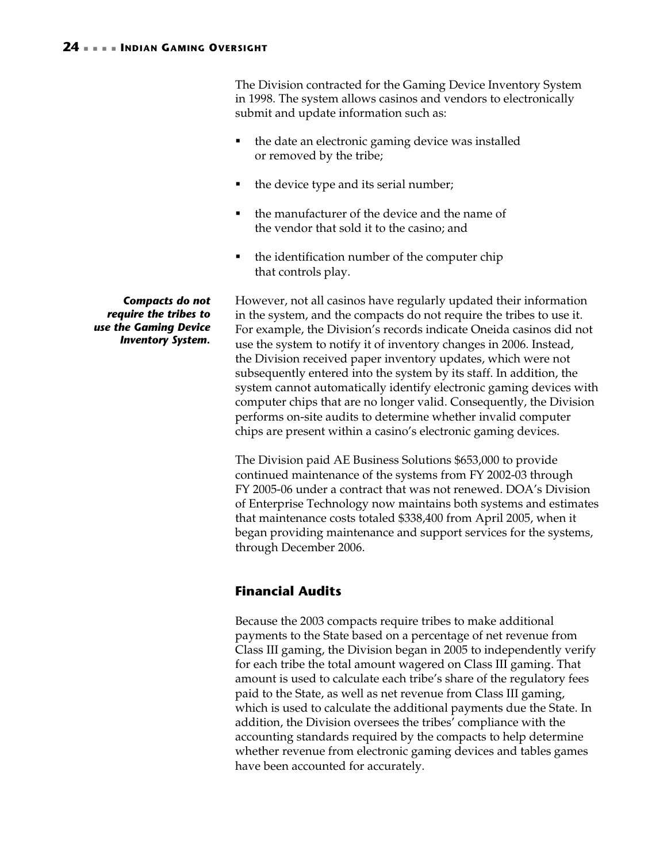The Division contracted for the Gaming Device Inventory System in 1998. The system allows casinos and vendors to electronically submit and update information such as:

- the date an electronic gaming device was installed or removed by the tribe;
- the device type and its serial number;
- the manufacturer of the device and the name of the vendor that sold it to the casino; and
- the identification number of the computer chip that controls play.

However, not all casinos have regularly updated their information in the system, and the compacts do not require the tribes to use it. For example, the Division's records indicate Oneida casinos did not use the system to notify it of inventory changes in 2006. Instead, the Division received paper inventory updates, which were not subsequently entered into the system by its staff. In addition, the system cannot automatically identify electronic gaming devices with computer chips that are no longer valid. Consequently, the Division performs on-site audits to determine whether invalid computer chips are present within a casino's electronic gaming devices.

The Division paid AE Business Solutions \$653,000 to provide continued maintenance of the systems from FY 2002-03 through FY 2005-06 under a contract that was not renewed. DOA's Division of Enterprise Technology now maintains both systems and estimates that maintenance costs totaled \$338,400 from April 2005, when it began providing maintenance and support services for the systems, through December 2006.

## <span id="page-27-0"></span>**Financial Audits**

Because the 2003 compacts require tribes to make additional payments to the State based on a percentage of net revenue from Class III gaming, the Division began in 2005 to independently verify for each tribe the total amount wagered on Class III gaming. That amount is used to calculate each tribe's share of the regulatory fees paid to the State, as well as net revenue from Class III gaming, which is used to calculate the additional payments due the State. In addition, the Division oversees the tribes' compliance with the accounting standards required by the compacts to help determine whether revenue from electronic gaming devices and tables games have been accounted for accurately.

*Compacts do not require the tribes to use the Gaming Device Inventory System.*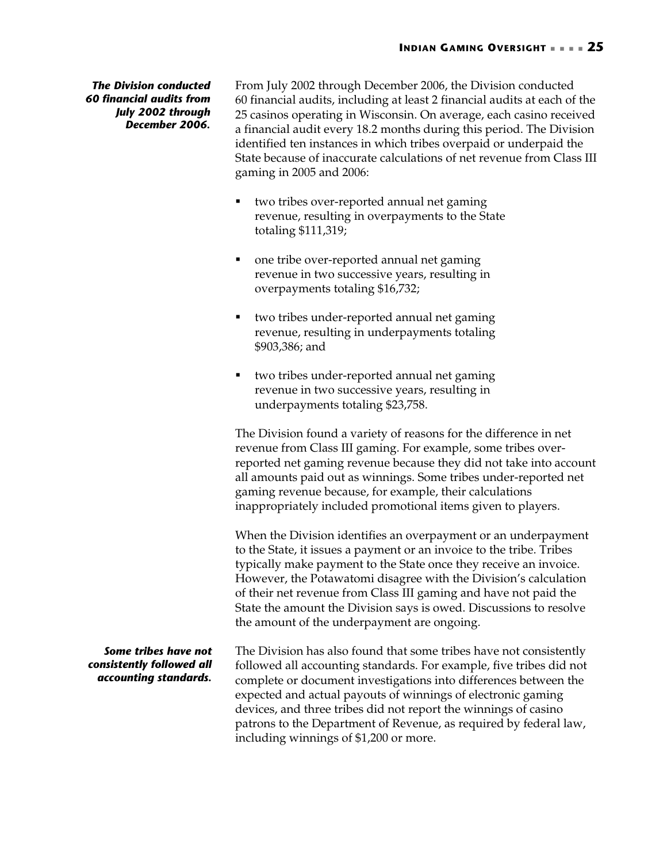*The Division conducted 60 financial audits from July 2002 through December 2006.* 

From July 2002 through December 2006, the Division conducted 60 financial audits, including at least 2 financial audits at each of the 25 casinos operating in Wisconsin. On average, each casino received a financial audit every 18.2 months during this period. The Division identified ten instances in which tribes overpaid or underpaid the State because of inaccurate calculations of net revenue from Class III gaming in 2005 and 2006:

- two tribes over-reported annual net gaming revenue, resulting in overpayments to the State totaling \$111,319;
- one tribe over-reported annual net gaming revenue in two successive years, resulting in overpayments totaling \$16,732;
- two tribes under-reported annual net gaming revenue, resulting in underpayments totaling \$903,386; and
- two tribes under-reported annual net gaming revenue in two successive years, resulting in underpayments totaling \$23,758.

The Division found a variety of reasons for the difference in net revenue from Class III gaming. For example, some tribes overreported net gaming revenue because they did not take into account all amounts paid out as winnings. Some tribes under-reported net gaming revenue because, for example, their calculations inappropriately included promotional items given to players.

When the Division identifies an overpayment or an underpayment to the State, it issues a payment or an invoice to the tribe. Tribes typically make payment to the State once they receive an invoice. However, the Potawatomi disagree with the Division's calculation of their net revenue from Class III gaming and have not paid the State the amount the Division says is owed. Discussions to resolve the amount of the underpayment are ongoing.

The Division has also found that some tribes have not consistently followed all accounting standards. For example, five tribes did not complete or document investigations into differences between the expected and actual payouts of winnings of electronic gaming devices, and three tribes did not report the winnings of casino patrons to the Department of Revenue, as required by federal law, including winnings of \$1,200 or more. *Some tribes have not consistently followed all accounting standards.*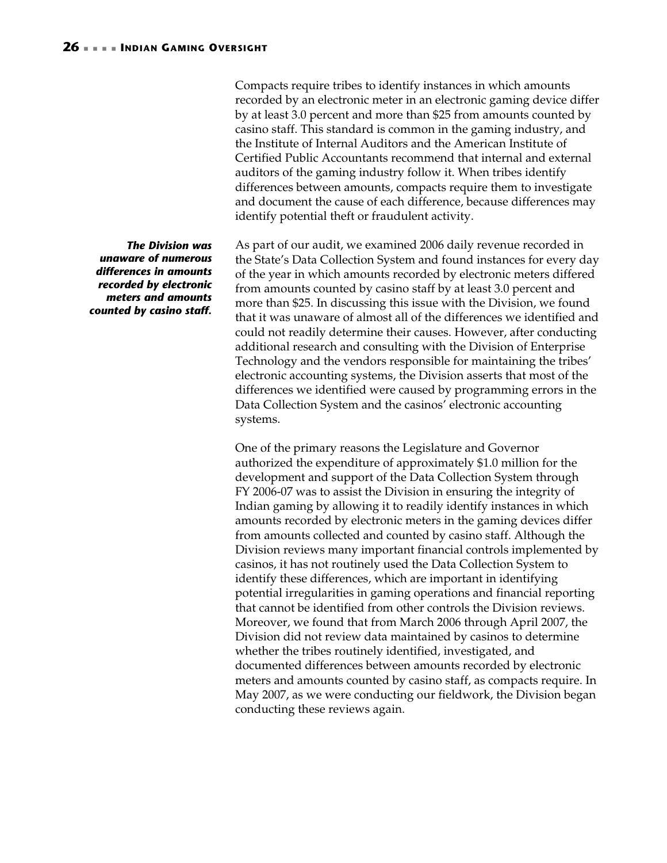Compacts require tribes to identify instances in which amounts recorded by an electronic meter in an electronic gaming device differ by at least 3.0 percent and more than \$25 from amounts counted by casino staff. This standard is common in the gaming industry, and the Institute of Internal Auditors and the American Institute of Certified Public Accountants recommend that internal and external auditors of the gaming industry follow it. When tribes identify differences between amounts, compacts require them to investigate and document the cause of each difference, because differences may identify potential theft or fraudulent activity.

As part of our audit, we examined 2006 daily revenue recorded in the State's Data Collection System and found instances for every day of the year in which amounts recorded by electronic meters differed from amounts counted by casino staff by at least 3.0 percent and more than \$25. In discussing this issue with the Division, we found that it was unaware of almost all of the differences we identified and could not readily determine their causes. However, after conducting additional research and consulting with the Division of Enterprise Technology and the vendors responsible for maintaining the tribes' electronic accounting systems, the Division asserts that most of the differences we identified were caused by programming errors in the Data Collection System and the casinos' electronic accounting systems.

One of the primary reasons the Legislature and Governor authorized the expenditure of approximately \$1.0 million for the development and support of the Data Collection System through FY 2006-07 was to assist the Division in ensuring the integrity of Indian gaming by allowing it to readily identify instances in which amounts recorded by electronic meters in the gaming devices differ from amounts collected and counted by casino staff. Although the Division reviews many important financial controls implemented by casinos, it has not routinely used the Data Collection System to identify these differences, which are important in identifying potential irregularities in gaming operations and financial reporting that cannot be identified from other controls the Division reviews. Moreover, we found that from March 2006 through April 2007, the Division did not review data maintained by casinos to determine whether the tribes routinely identified, investigated, and documented differences between amounts recorded by electronic meters and amounts counted by casino staff, as compacts require. In May 2007, as we were conducting our fieldwork, the Division began conducting these reviews again.

*The Division was unaware of numerous differences in amounts recorded by electronic meters and amounts counted by casino staff.*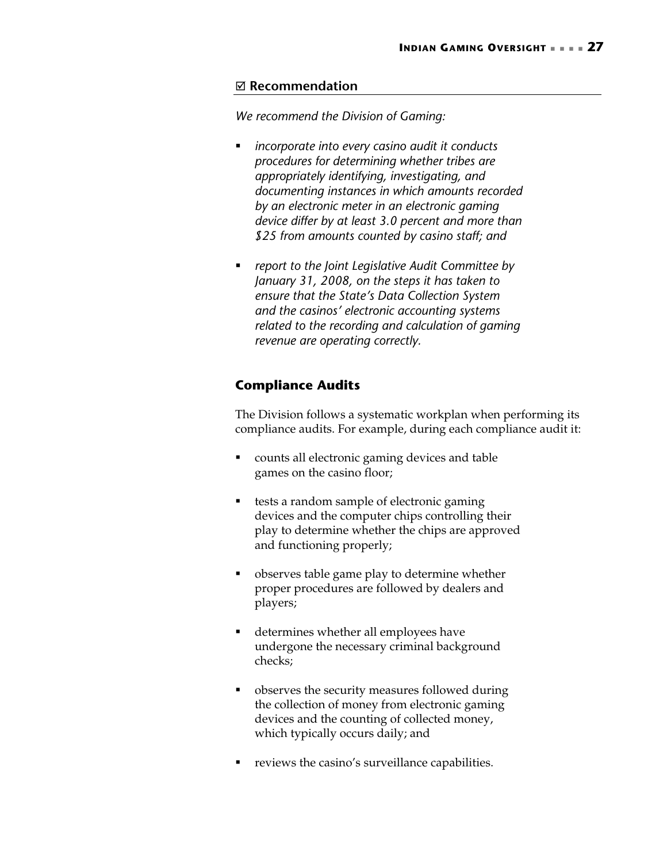### <span id="page-30-1"></span>; **Recommendation**

*We recommend the Division of Gaming:* 

- *incorporate into every casino audit it conducts procedures for determining whether tribes are appropriately identifying, investigating, and documenting instances in which amounts recorded by an electronic meter in an electronic gaming device differ by at least 3.0 percent and more than \$25 from amounts counted by casino staff; and*
- *report to the Joint Legislative Audit Committee by January 31, 2008, on the steps it has taken to ensure that the State's Data Collection System and the casinos' electronic accounting systems related to the recording and calculation of gaming revenue are operating correctly.*

### <span id="page-30-0"></span>**Compliance Audits**

The Division follows a systematic workplan when performing its compliance audits. For example, during each compliance audit it:

- counts all electronic gaming devices and table games on the casino floor;
- tests a random sample of electronic gaming devices and the computer chips controlling their play to determine whether the chips are approved and functioning properly;
- **•** observes table game play to determine whether proper procedures are followed by dealers and players;
- determines whether all employees have undergone the necessary criminal background checks;
- observes the security measures followed during the collection of money from electronic gaming devices and the counting of collected money, which typically occurs daily; and
- reviews the casino's surveillance capabilities.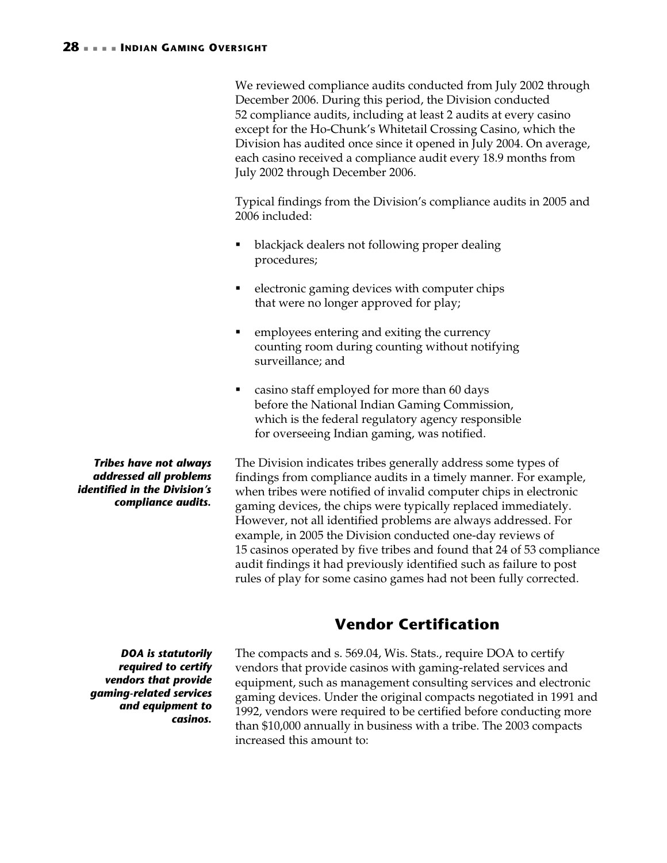<span id="page-31-1"></span>We reviewed compliance audits conducted from July 2002 through December 2006. During this period, the Division conducted 52 compliance audits, including at least 2 audits at every casino except for the Ho-Chunk's Whitetail Crossing Casino, which the Division has audited once since it opened in July 2004. On average, each casino received a compliance audit every 18.9 months from July 2002 through December 2006.

Typical findings from the Division's compliance audits in 2005 and 2006 included:

- blackjack dealers not following proper dealing procedures;
- electronic gaming devices with computer chips that were no longer approved for play;
- **EXECUTE:** employees entering and exiting the currency counting room during counting without notifying surveillance; and
- casino staff employed for more than 60 days before the National Indian Gaming Commission, which is the federal regulatory agency responsible for overseeing Indian gaming, was notified.

The Division indicates tribes generally address some types of findings from compliance audits in a timely manner. For example, when tribes were notified of invalid computer chips in electronic gaming devices, the chips were typically replaced immediately. However, not all identified problems are always addressed. For example, in 2005 the Division conducted one-day reviews of 15 casinos operated by five tribes and found that 24 of 53 compliance audit findings it had previously identified such as failure to post rules of play for some casino games had not been fully corrected.

# <span id="page-31-0"></span>**Vendor Certification**

The compacts and s. 569.04, Wis. Stats., require DOA to certify vendors that provide casinos with gaming-related services and equipment, such as management consulting services and electronic gaming devices. Under the original compacts negotiated in 1991 and 1992, vendors were required to be certified before conducting more than \$10,000 annually in business with a tribe. The 2003 compacts increased this amount to:

*Tribes have not always addressed all problems identified in the Division's compliance audits.* 

*DOA is statutorily required to certify vendors that provide gaming-related services and equipment to casinos.*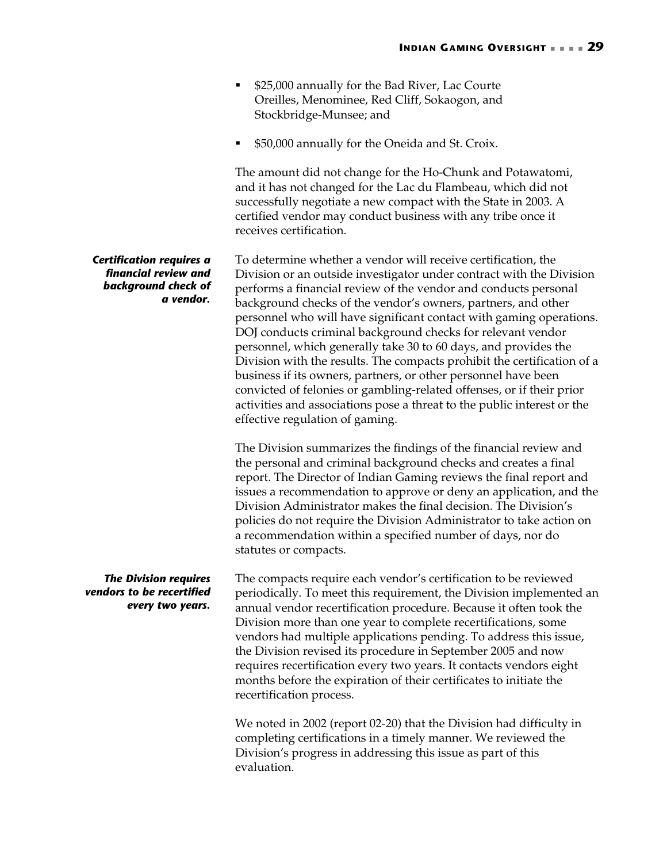- **525,000 annually for the Bad River, Lac Courte** Oreilles, Menominee, Red Cliff, Sokaogon, and Stockbridge-Munsee; and
- \$50,000 annually for the Oneida and St. Croix.

The amount did not change for the Ho-Chunk and Potawatomi, and it has not changed for the Lac du Flambeau, which did not successfully negotiate a new compact with the State in 2003. A certified vendor may conduct business with any tribe once it receives certification.

To determine whether a vendor will receive certification, the Division or an outside investigator under contract with the Division performs a financial review of the vendor and conducts personal background checks of the vendor's owners, partners, and other personnel who will have significant contact with gaming operations. DOJ conducts criminal background checks for relevant vendor personnel, which generally take 30 to 60 days, and provides the Division with the results. The compacts prohibit the certification of a business if its owners, partners, or other personnel have been convicted of felonies or gambling-related offenses, or if their prior activities and associations pose a threat to the public interest or the effective regulation of gaming.

The Division summarizes the findings of the financial review and the personal and criminal background checks and creates a final report. The Director of Indian Gaming reviews the final report and issues a recommendation to approve or deny an application, and the Division Administrator makes the final decision. The Division's policies do not require the Division Administrator to take action on a recommendation within a specified number of days, nor do statutes or compacts.

The compacts require each vendor's certification to be reviewed periodically. To meet this requirement, the Division implemented an annual vendor recertification procedure. Because it often took the Division more than one year to complete recertifications, some vendors had multiple applications pending. To address this issue, the Division revised its procedure in September 2005 and now requires recertification every two years. It contacts vendors eight months before the expiration of their certificates to initiate the recertification process. *The Division requires vendors to be recertified every two years.* 

> We noted in 2002 (report 02-20) that the Division had difficulty in completing certifications in a timely manner. We reviewed the Division's progress in addressing this issue as part of this evaluation.

### *Certification requires a financial review and background check of a vendor.*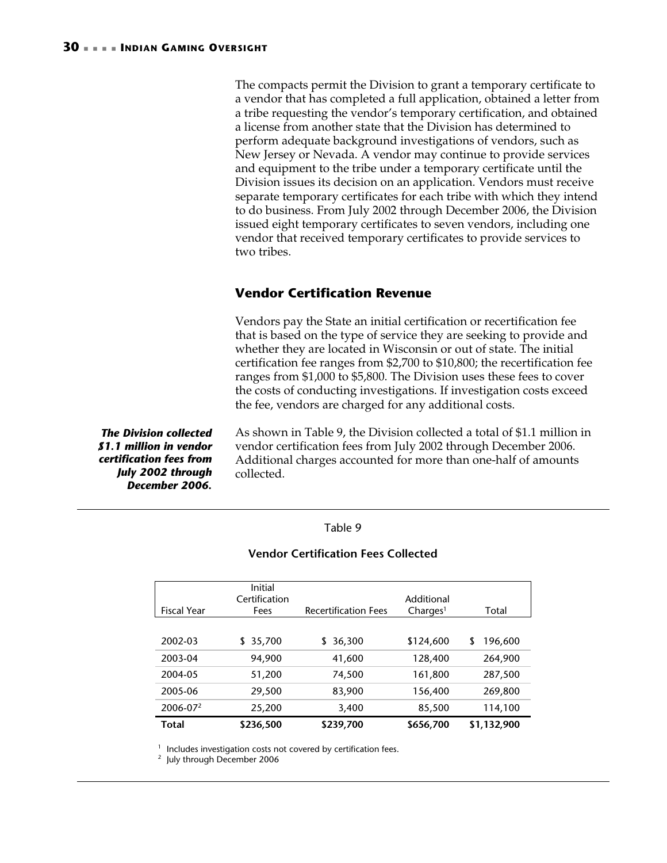The compacts permit the Division to grant a temporary certificate to a vendor that has completed a full application, obtained a letter from a tribe requesting the vendor's temporary certification, and obtained a license from another state that the Division has determined to perform adequate background investigations of vendors, such as New Jersey or Nevada. A vendor may continue to provide services and equipment to the tribe under a temporary certificate until the Division issues its decision on an application. Vendors must receive separate temporary certificates for each tribe with which they intend to do business. From July 2002 through December 2006, the Division issued eight temporary certificates to seven vendors, including one vendor that received temporary certificates to provide services to two tribes.

### <span id="page-33-0"></span>**Vendor Certification Revenue**

Vendors pay the State an initial certification or recertification fee that is based on the type of service they are seeking to provide and whether they are located in Wisconsin or out of state. The initial certification fee ranges from \$2,700 to \$10,800; the recertification fee ranges from \$1,000 to \$5,800. The Division uses these fees to cover the costs of conducting investigations. If investigation costs exceed the fee, vendors are charged for any additional costs.

*The Division collected \$1.1 million in vendor certification fees from July 2002 through December 2006.* 

As shown in [Table 9,](#page-33-1) the Division collected a total of \$1.1 million in vendor certification fees from July 2002 through December 2006. Additional charges accounted for more than one-half of amounts collected.

### <span id="page-33-1"></span>Table 9

### **Vendor Certification Fees Collected**

|                      | Initial<br>Certification |                             | Additional           |              |
|----------------------|--------------------------|-----------------------------|----------------------|--------------|
| <b>Fiscal Year</b>   | Fees                     | <b>Recertification Fees</b> | Charles <sup>1</sup> | Total        |
|                      |                          |                             |                      |              |
| 2002-03              | 35,700<br>S.             | 36,300<br>S                 | \$124,600            | 196,600<br>S |
| 2003-04              | 94,900                   | 41,600                      | 128,400              | 264,900      |
| 2004-05              | 51,200                   | 74,500                      | 161,800              | 287,500      |
| 2005-06              | 29,500                   | 83,900                      | 156,400              | 269,800      |
| 2006-07 <sup>2</sup> | 25,200                   | 3,400                       | 85,500               | 114,100      |
| Total                | \$236,500                | \$239,700                   | \$656,700            | \$1,132,900  |

<sup>1</sup> Includes investigation costs not covered by certification fees.<br><sup>2</sup> July through December 2006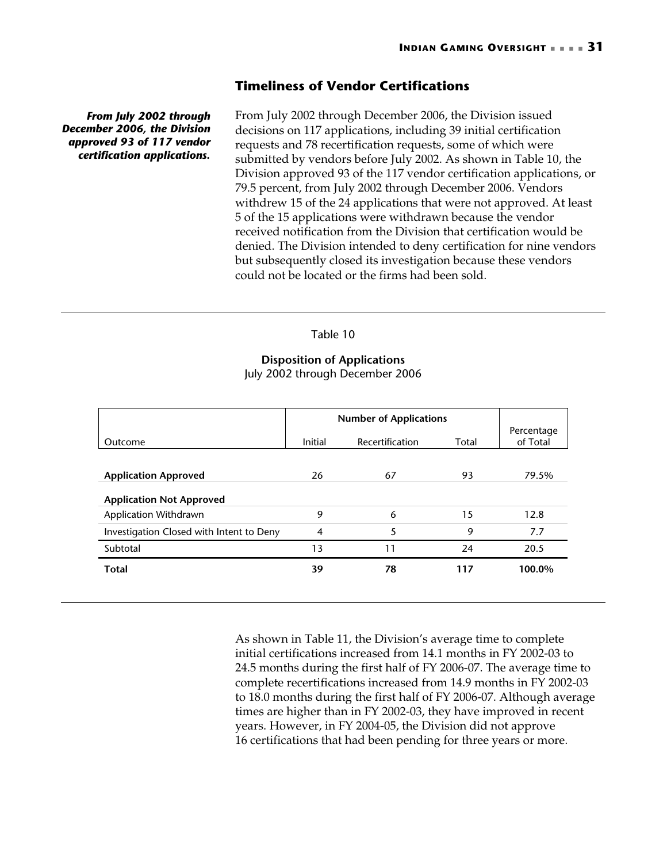### <span id="page-34-0"></span>**Timeliness of Vendor Certifications**

*From July 2002 through December 2006, the Division approved 93 of 117 vendor certification applications.* 

From July 2002 through December 2006, the Division issued decisions on 117 applications, including 39 initial certification requests and 78 recertification requests, some of which were submitted by vendors before July 2002. As shown in [Table 10,](#page-34-1) the Division approved 93 of the 117 vendor certification applications, or 79.5 percent, from July 2002 through December 2006. Vendors withdrew 15 of the 24 applications that were not approved. At least 5 of the 15 applications were withdrawn because the vendor received notification from the Division that certification would be denied. The Division intended to deny certification for nine vendors but subsequently closed its investigation because these vendors could not be located or the firms had been sold.

### <span id="page-34-1"></span>Table 10

### **Disposition of Applications** July 2002 through December 2006

|                                          | <b>Number of Applications</b> |                 |       |                        |
|------------------------------------------|-------------------------------|-----------------|-------|------------------------|
| Outcome                                  | Initial                       | Recertification | Total | Percentage<br>of Total |
|                                          |                               |                 |       |                        |
| <b>Application Approved</b>              | 26                            | 67              | 93    | 79.5%                  |
| <b>Application Not Approved</b>          |                               |                 |       |                        |
| Application Withdrawn                    | 9                             | 6               | 15    | 12.8                   |
| Investigation Closed with Intent to Deny | $\overline{4}$                | 5               | 9     | 7.7                    |
| Subtotal                                 | 13                            | 11              | 24    | 20.5                   |
| <b>Total</b>                             | 39                            | 78              | 117   | 100.0%                 |
|                                          |                               |                 |       |                        |

As shown in [Table 11,](#page-35-1) the Division's average time to complete initial certifications increased from 14.1 months in FY 2002-03 to 24.5 months during the first half of FY 2006-07. The average time to complete recertifications increased from 14.9 months in FY 2002-03 to 18.0 months during the first half of FY 2006-07. Although average times are higher than in FY 2002-03, they have improved in recent years. However, in FY 2004-05, the Division did not approve 16 certifications that had been pending for three years or more.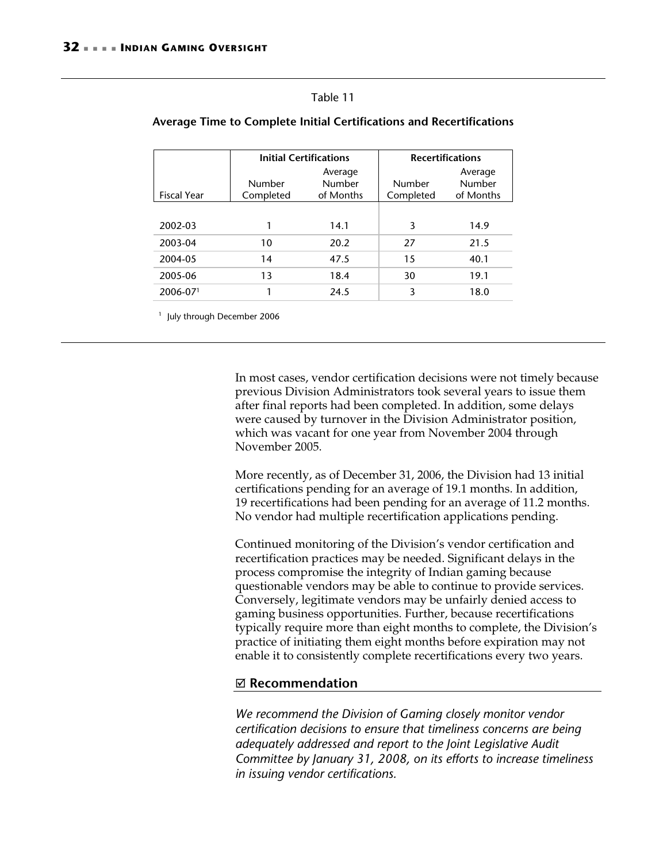#### <span id="page-35-1"></span>Table 11

|                    | <b>Initial Certifications</b> |           | <b>Recertifications</b> |           |
|--------------------|-------------------------------|-----------|-------------------------|-----------|
|                    |                               | Average   |                         | Average   |
|                    | Number                        | Number    | Number                  | Number    |
| <b>Fiscal Year</b> | Completed                     | of Months | Completed               | of Months |
|                    |                               |           |                         |           |
| 2002-03            |                               | 14.1      | 3                       | 14.9      |
| 2003-04            | 10                            | 20.2      | 27                      | 21.5      |
| 2004-05            | 14                            | 47.5      | 15                      | 40.1      |
| 2005-06            | 13                            | 18.4      | 30                      | 19.1      |
| $2006 - 071$       |                               | 24.5      | 3                       | 18.0      |

### <span id="page-35-0"></span>**Average Time to Complete Initial Certifications and Recertifications**

<sup>1</sup> July through December 2006

In most cases, vendor certification decisions were not timely because previous Division Administrators took several years to issue them after final reports had been completed. In addition, some delays were caused by turnover in the Division Administrator position, which was vacant for one year from November 2004 through November 2005.

More recently, as of December 31, 2006, the Division had 13 initial certifications pending for an average of 19.1 months. In addition, 19 recertifications had been pending for an average of 11.2 months. No vendor had multiple recertification applications pending.

Continued monitoring of the Division's vendor certification and recertification practices may be needed. Significant delays in the process compromise the integrity of Indian gaming because questionable vendors may be able to continue to provide services. Conversely, legitimate vendors may be unfairly denied access to gaming business opportunities. Further, because recertifications typically require more than eight months to complete, the Division's practice of initiating them eight months before expiration may not enable it to consistently complete recertifications every two years.

### ; **Recommendation**

*We recommend the Division of Gaming closely monitor vendor certification decisions to ensure that timeliness concerns are being adequately addressed and report to the Joint Legislative Audit Committee by January 31, 2008, on its efforts to increase timeliness in issuing vendor certifications.*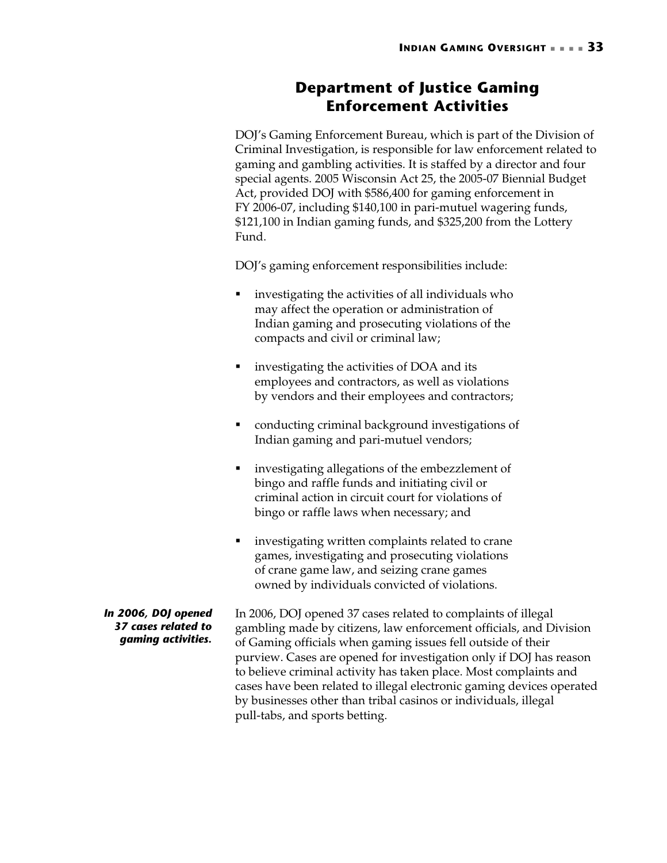## <span id="page-36-0"></span>**Department of Justice Gaming Enforcement Activities**

<span id="page-36-1"></span>DOJ's Gaming Enforcement Bureau, which is part of the Division of Criminal Investigation, is responsible for law enforcement related to gaming and gambling activities. It is staffed by a director and four special agents. 2005 Wisconsin Act 25, the 2005-07 Biennial Budget Act, provided DOJ with \$586,400 for gaming enforcement in FY 2006-07, including \$140,100 in pari-mutuel wagering funds, \$121,100 in Indian gaming funds, and \$325,200 from the Lottery Fund.

DOJ's gaming enforcement responsibilities include:

- investigating the activities of all individuals who may affect the operation or administration of Indian gaming and prosecuting violations of the compacts and civil or criminal law;
- investigating the activities of DOA and its employees and contractors, as well as violations by vendors and their employees and contractors;
- conducting criminal background investigations of Indian gaming and pari-mutuel vendors;
- **F** investigating allegations of the embezzlement of bingo and raffle funds and initiating civil or criminal action in circuit court for violations of bingo or raffle laws when necessary; and
- investigating written complaints related to crane games, investigating and prosecuting violations of crane game law, and seizing crane games owned by individuals convicted of violations.

In 2006, DOJ opened 37 cases related to complaints of illegal gambling made by citizens, law enforcement officials, and Division of Gaming officials when gaming issues fell outside of their purview. Cases are opened for investigation only if DOJ has reason to believe criminal activity has taken place. Most complaints and cases have been related to illegal electronic gaming devices operated by businesses other than tribal casinos or individuals, illegal pull-tabs, and sports betting. *In 2006, DOJ opened 37 cases related to gaming activities.*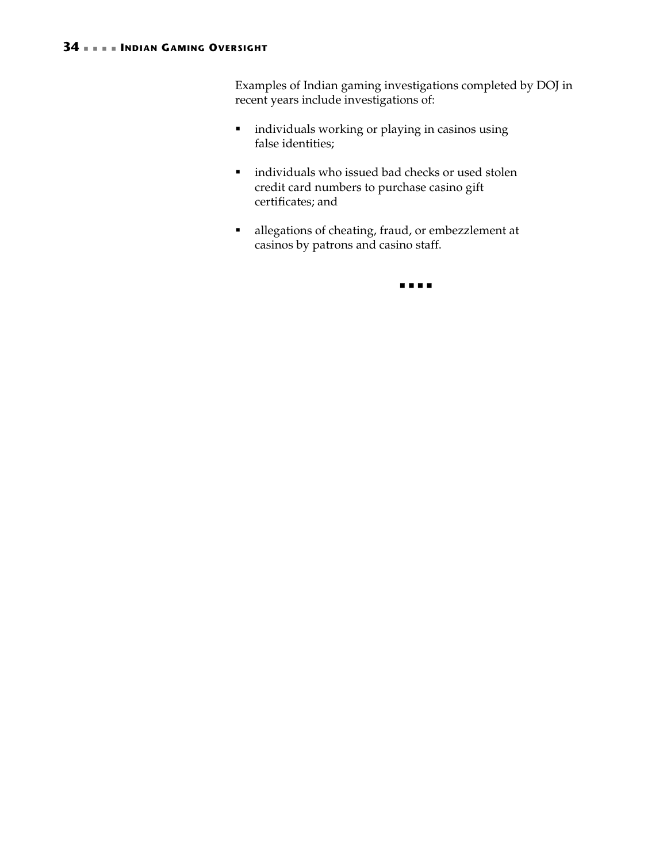### **34 INDIAN GAMING OVERSIGHT**

Examples of Indian gaming investigations completed by DOJ in recent years include investigations of:

- individuals working or playing in casinos using false identities;
- individuals who issued bad checks or used stolen credit card numbers to purchase casino gift certificates; and
- allegations of cheating, fraud, or embezzlement at casinos by patrons and casino staff.

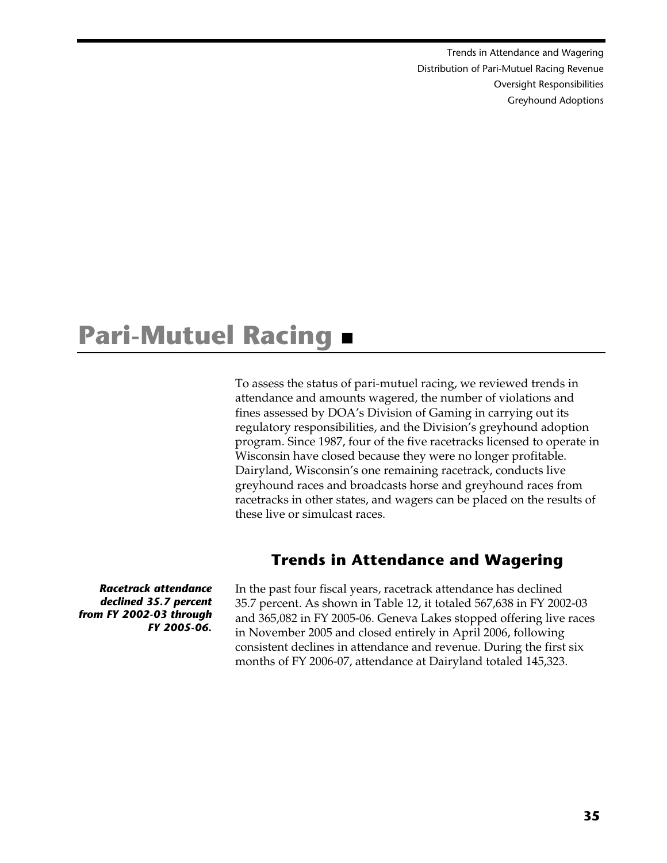Trends in Attendance and Wagering  [Distribution of Pari-Mutuel Racing Revenue](#page-40-2)  [Oversight Responsibilities](#page-43-3)  [Greyhound Adoptions](#page-45-1)

# <span id="page-38-0"></span>**Pari-Mutuel Racing**

To assess the status of pari-mutuel racing, we reviewed trends in attendance and amounts wagered, the number of violations and fines assessed by DOA's Division of Gaming in carrying out its regulatory responsibilities, and the Division's greyhound adoption program. Since 1987, four of the five racetracks licensed to operate in Wisconsin have closed because they were no longer profitable. Dairyland, Wisconsin's one remaining racetrack, conducts live greyhound races and broadcasts horse and greyhound races from racetracks in other states, and wagers can be placed on the results of these live or simulcast races.

# <span id="page-38-1"></span>**Trends in Attendance and Wagering**

*Racetrack attendance declined 35.7 percent from FY 2002-03 through FY 2005-06.* 

In the past four fiscal years, racetrack attendance has declined 35.7 percent. As shown in [Table 12,](#page-39-0) it totaled 567,638 in FY 2002-03 and 365,082 in FY 2005-06. Geneva Lakes stopped offering live races in November 2005 and closed entirely in April 2006, following consistent declines in attendance and revenue. During the first six months of FY 2006-07, attendance at Dairyland totaled 145,323.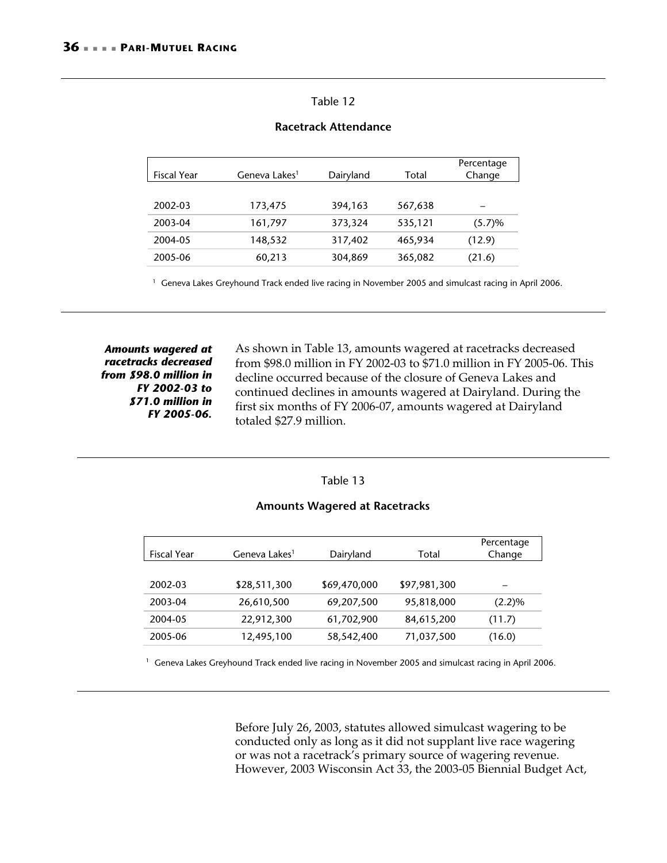### <span id="page-39-0"></span>Table 12

| <b>Fiscal Year</b> | Geneva Lakes <sup>1</sup> | Dairyland | Total   | Percentage<br>Change |
|--------------------|---------------------------|-----------|---------|----------------------|
|                    |                           |           |         |                      |
| 2002-03            | 173,475                   | 394,163   | 567,638 |                      |
| 2003-04            | 161,797                   | 373,324   | 535,121 | (5.7)%               |
| 2004-05            | 148,532                   | 317,402   | 465,934 | (12.9)               |
| 2005-06            | 60,213                    | 304,869   | 365,082 | (21.6)               |

### **Racetrack Attendance**

<sup>1</sup> Geneva Lakes Greyhound Track ended live racing in November 2005 and simulcast racing in April 2006.

*Amounts wagered at racetracks decreased from \$98.0 million in FY 2002-03 to \$71.0 million in FY 2005-06.* 

As shown in [Table 13,](#page-39-1) amounts wagered at racetracks decreased from \$98.0 million in FY 2002-03 to \$71.0 million in FY 2005-06. This decline occurred because of the closure of Geneva Lakes and continued declines in amounts wagered at Dairyland. During the first six months of FY 2006-07, amounts wagered at Dairyland totaled \$27.9 million.

### <span id="page-39-1"></span>Table 13

### **Amounts Wagered at Racetracks**

| <b>Fiscal Year</b> | Geneva Lakes <sup>1</sup> | Dairyland    | Total        | Percentage<br>Change |
|--------------------|---------------------------|--------------|--------------|----------------------|
|                    |                           |              |              |                      |
| 2002-03            | \$28,511,300              | \$69,470,000 | \$97,981,300 |                      |
| 2003-04            | 26,610,500                | 69,207,500   | 95,818,000   | (2.2)%               |
| 2004-05            | 22,912,300                | 61,702,900   | 84,615,200   | (11.7)               |
| 2005-06            | 12,495,100                | 58,542,400   | 71,037,500   | (16.0)               |

<sup>1</sup> Geneva Lakes Greyhound Track ended live racing in November 2005 and simulcast racing in April 2006.

Before July 26, 2003, statutes allowed simulcast wagering to be conducted only as long as it did not supplant live race wagering or was not a racetrack's primary source of wagering revenue. However, 2003 Wisconsin Act 33, the 2003-05 Biennial Budget Act,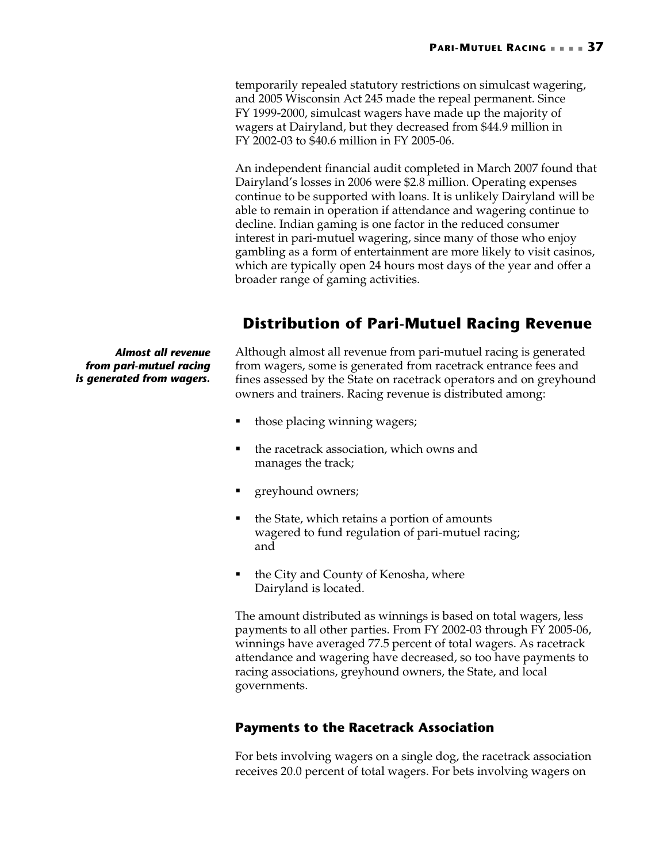<span id="page-40-2"></span>temporarily repealed statutory restrictions on simulcast wagering, and 2005 Wisconsin Act 245 made the repeal permanent. Since FY 1999-2000, simulcast wagers have made up the majority of wagers at Dairyland, but they decreased from \$44.9 million in FY 2002-03 to \$40.6 million in FY 2005-06.

An independent financial audit completed in March 2007 found that Dairyland's losses in 2006 were \$2.8 million. Operating expenses continue to be supported with loans. It is unlikely Dairyland will be able to remain in operation if attendance and wagering continue to decline. Indian gaming is one factor in the reduced consumer interest in pari-mutuel wagering, since many of those who enjoy gambling as a form of entertainment are more likely to visit casinos, which are typically open 24 hours most days of the year and offer a broader range of gaming activities.

## <span id="page-40-0"></span>**Distribution of Pari-Mutuel Racing Revenue**

*Almost all revenue from pari-mutuel racing is generated from wagers.* 

Although almost all revenue from pari-mutuel racing is generated from wagers, some is generated from racetrack entrance fees and fines assessed by the State on racetrack operators and on greyhound owners and trainers. Racing revenue is distributed among:

- those placing winning wagers;
- the racetrack association, which owns and manages the track;
- **greyhound owners;**
- the State, which retains a portion of amounts wagered to fund regulation of pari-mutuel racing; and
- the City and County of Kenosha, where Dairyland is located.

The amount distributed as winnings is based on total wagers, less payments to all other parties. From FY 2002-03 through FY 2005-06, winnings have averaged 77.5 percent of total wagers. As racetrack attendance and wagering have decreased, so too have payments to racing associations, greyhound owners, the State, and local governments.

## <span id="page-40-1"></span>**Payments to the Racetrack Association**

For bets involving wagers on a single dog, the racetrack association receives 20.0 percent of total wagers. For bets involving wagers on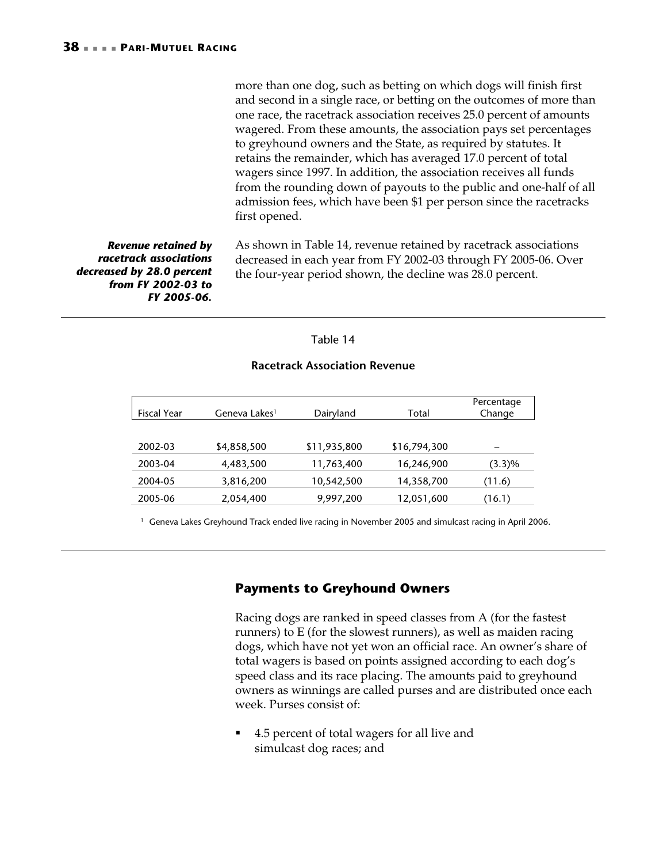more than one dog, such as betting on which dogs will finish first and second in a single race, or betting on the outcomes of more than one race, the racetrack association receives 25.0 percent of amounts wagered. From these amounts, the association pays set percentages to greyhound owners and the State, as required by statutes. It retains the remainder, which has averaged 17.0 percent of total wagers since 1997. In addition, the association receives all funds from the rounding down of payouts to the public and one-half of all admission fees, which have been \$1 per person since the racetracks first opened.

*Revenue retained by racetrack associations decreased by 28.0 percent from FY 2002-03 to FY 2005-06.* 

As shown in [Table 14,](#page-41-1) revenue retained by racetrack associations decreased in each year from FY 2002-03 through FY 2005-06. Over the four-year period shown, the decline was 28.0 percent.

### <span id="page-41-1"></span>Table 14

## Fiscal Year Geneva Lakes<sup>1</sup> Dairyland Total Percentage Change 2002-03 \$4,858,500 \$11,935,800 \$16,794,300 – 2003-04 4,483,500 11,763,400 16,246,900 (3.3)% 2004-05 3,816,200 10,542,500 14,358,700 (11.6) 2005-06 2,054,400 9,997,200 12,051,600 (16.1)

### **Racetrack Association Revenue**

<sup>1</sup> Geneva Lakes Greyhound Track ended live racing in November 2005 and simulcast racing in April 2006.

### <span id="page-41-0"></span>**Payments to Greyhound Owners**

Racing dogs are ranked in speed classes from A (for the fastest runners) to E (for the slowest runners), as well as maiden racing dogs, which have not yet won an official race. An owner's share of total wagers is based on points assigned according to each dog's speed class and its race placing. The amounts paid to greyhound owners as winnings are called purses and are distributed once each week. Purses consist of:

 4.5 percent of total wagers for all live and simulcast dog races; and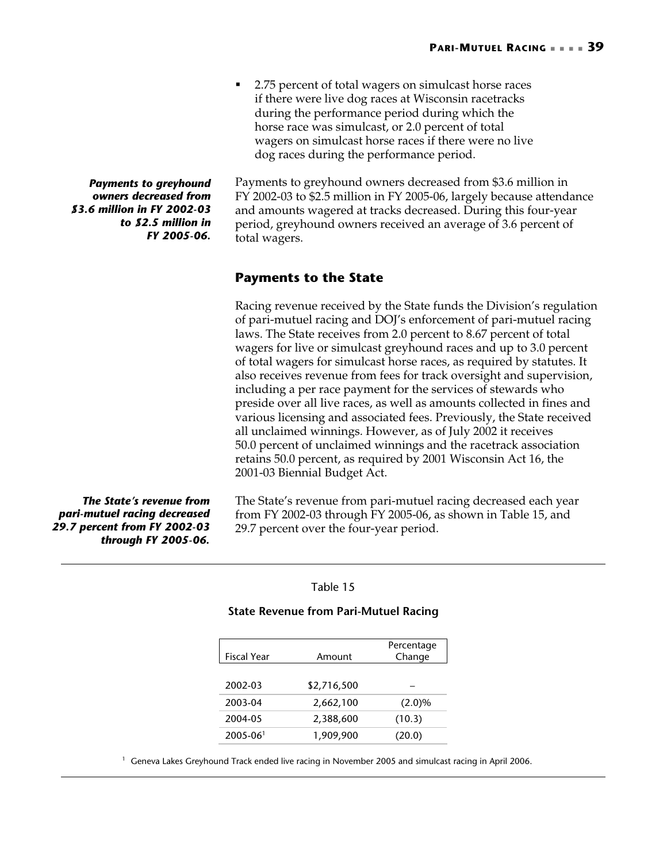2.75 percent of total wagers on simulcast horse races if there were live dog races at Wisconsin racetracks during the performance period during which the horse race was simulcast, or 2.0 percent of total wagers on simulcast horse races if there were no live dog races during the performance period.

Payments to greyhound owners decreased from \$3.6 million in FY 2002-03 to \$2.5 million in FY 2005-06, largely because attendance and amounts wagered at tracks decreased. During this four-year period, greyhound owners received an average of 3.6 percent of total wagers.

### <span id="page-42-0"></span>**Payments to the State**

Racing revenue received by the State funds the Division's regulation of pari-mutuel racing and DOJ's enforcement of pari-mutuel racing laws. The State receives from 2.0 percent to 8.67 percent of total wagers for live or simulcast greyhound races and up to 3.0 percent of total wagers for simulcast horse races, as required by statutes. It also receives revenue from fees for track oversight and supervision, including a per race payment for the services of stewards who preside over all live races, as well as amounts collected in fines and various licensing and associated fees. Previously, the State received all unclaimed winnings. However, as of July 2002 it receives 50.0 percent of unclaimed winnings and the racetrack association retains 50.0 percent, as required by 2001 Wisconsin Act 16, the 2001-03 Biennial Budget Act.

The State's revenue from pari-mutuel racing decreased each year from FY 2002-03 through FY 2005-06, as shown in [Table 15,](#page-42-1) and 29.7 percent over the four-year period.

### <span id="page-42-1"></span>Table 15

### **State Revenue from Pari-Mutuel Racing**

| <b>Fiscal Year</b> | Amount      | Percentage<br>Change |
|--------------------|-------------|----------------------|
| 2002-03            | \$2,716,500 |                      |
| 2003-04            | 2,662,100   | $(2.0)\%$            |
| 2004-05            | 2,388,600   | (10.3)               |
| $2005 - 061$       | 1,909,900   | (20.0)               |

<sup>1</sup> Geneva Lakes Greyhound Track ended live racing in November 2005 and simulcast racing in April 2006.

*Payments to greyhound owners decreased from \$3.6 million in FY 2002-03 to \$2.5 million in FY 2005-06.* 

*The State's revenue from pari-mutuel racing decreased 29.7 percent from FY 2002-03 through FY 2005-06.*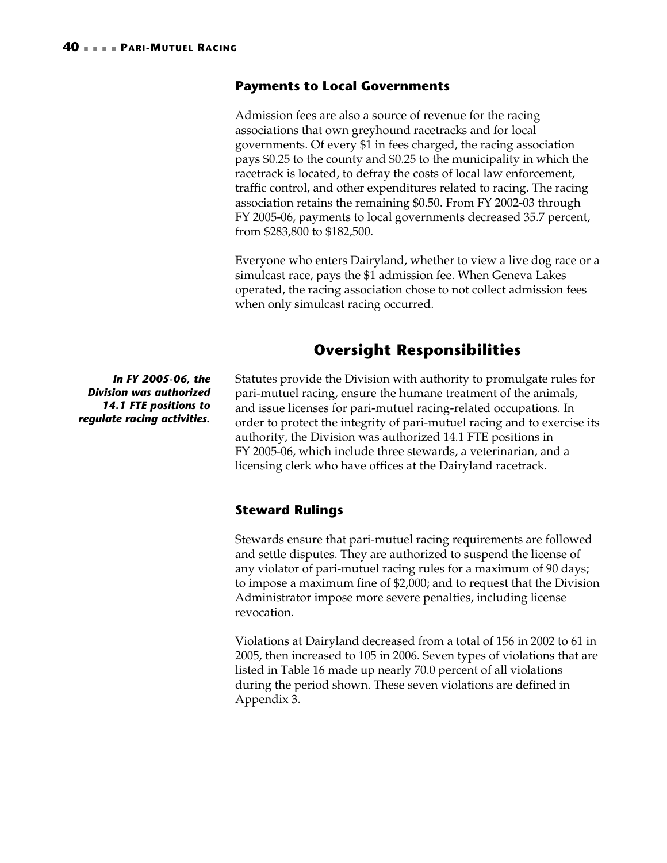### <span id="page-43-3"></span><span id="page-43-0"></span>**Payments to Local Governments**

Admission fees are also a source of revenue for the racing associations that own greyhound racetracks and for local governments. Of every \$1 in fees charged, the racing association pays \$0.25 to the county and \$0.25 to the municipality in which the racetrack is located, to defray the costs of local law enforcement, traffic control, and other expenditures related to racing. The racing association retains the remaining \$0.50. From FY 2002-03 through FY 2005-06, payments to local governments decreased 35.7 percent, from \$283,800 to \$182,500.

Everyone who enters Dairyland, whether to view a live dog race or a simulcast race, pays the \$1 admission fee. When Geneva Lakes operated, the racing association chose to not collect admission fees when only simulcast racing occurred.

## <span id="page-43-1"></span>**Oversight Responsibilities**

*In FY 2005-06, the Division was authorized 14.1 FTE positions to regulate racing activities.* 

Statutes provide the Division with authority to promulgate rules for pari-mutuel racing, ensure the humane treatment of the animals, and issue licenses for pari-mutuel racing-related occupations. In order to protect the integrity of pari-mutuel racing and to exercise its authority, the Division was authorized 14.1 FTE positions in FY 2005-06, which include three stewards, a veterinarian, and a licensing clerk who have offices at the Dairyland racetrack.

### <span id="page-43-2"></span>**Steward Rulings**

Stewards ensure that pari-mutuel racing requirements are followed and settle disputes. They are authorized to suspend the license of any violator of pari-mutuel racing rules for a maximum of 90 days; to impose a maximum fine of \$2,000; and to request that the Division Administrator impose more severe penalties, including license revocation.

Violations at Dairyland decreased from a total of 156 in 2002 to 61 in 2005, then increased to 105 in 2006. Seven types of violations that are listed in [Table 16](#page-44-0) made up nearly 70.0 percent of all violations during the period shown. These seven violations are defined in Appendix 3.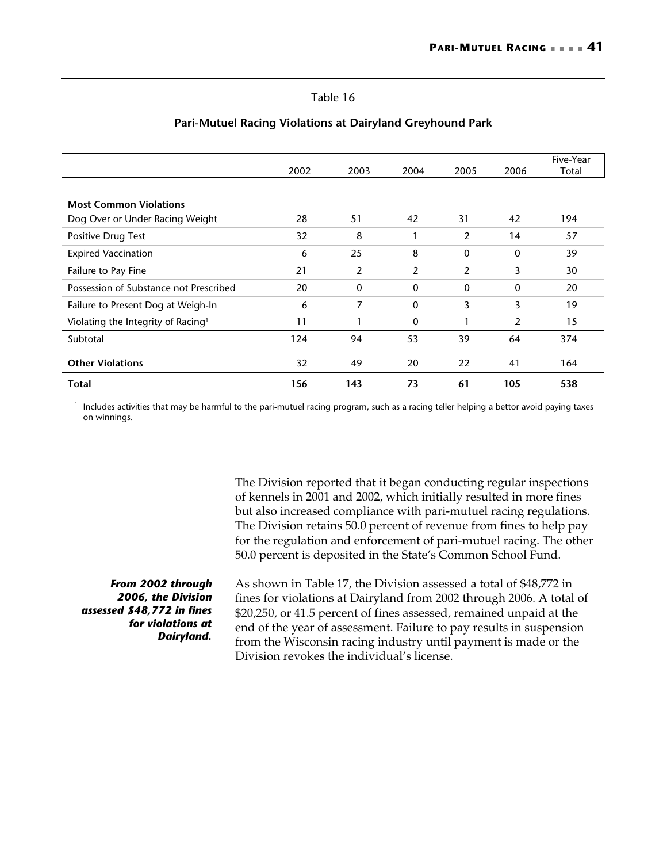### <span id="page-44-0"></span>Table 16

|                                                | 2002 | 2003         | 2004         | 2005           | 2006         | Five-Year<br>Total |
|------------------------------------------------|------|--------------|--------------|----------------|--------------|--------------------|
|                                                |      |              |              |                |              |                    |
| <b>Most Common Violations</b>                  |      |              |              |                |              |                    |
| Dog Over or Under Racing Weight                | 28   | 51           | 42           | 31             | 42           | 194                |
| Positive Drug Test                             | 32   | 8            | 1            | 2              | 14           | 57                 |
| <b>Expired Vaccination</b>                     | 6    | 25           | 8            | $\mathbf{0}$   | $\mathbf{0}$ | 39                 |
| Failure to Pay Fine                            | 21   | 2            | 2            | $\overline{2}$ | 3            | 30                 |
| Possession of Substance not Prescribed         | 20   | $\mathbf{0}$ | $\mathbf{0}$ | $\mathbf{0}$   | $\mathbf{0}$ | 20                 |
| Failure to Present Dog at Weigh-In             | 6    | 7            | $\mathbf 0$  | 3              | 3            | 19                 |
| Violating the Integrity of Racing <sup>1</sup> | 11   | 1            | 0            | 1              | 2            | 15                 |
| Subtotal                                       | 124  | 94           | 53           | 39             | 64           | 374                |
| <b>Other Violations</b>                        | 32   | 49           | 20           | 22             | 41           | 164                |
| Total                                          | 156  | 143          | 73           | 61             | 105          | 538                |

### **Pari-Mutuel Racing Violations at Dairyland Greyhound Park**

 $<sup>1</sup>$  Includes activities that may be harmful to the pari-mutuel racing program, such as a racing teller helping a bettor avoid paying taxes</sup> on winnings.

> of kennels in 2001 and 2002, which initially resulted in more fines but also increased compliance with pari-mutuel racing regulations. The Division retains 50.0 percent of revenue from fines to help pay for the regulation and enforcement of pari-mutuel racing. The other 50.0 percent is deposited in the State's Common School Fund.

The Division reported that it began conducting regular inspections

*From 2002 through 2006, the Division assessed \$48,772 in fines for violations at Dairyland.* 

As shown in [Table 17,](#page-45-2) the Division assessed a total of \$48,772 in fines for violations at Dairyland from 2002 through 2006. A total of \$20,250, or 41.5 percent of fines assessed, remained unpaid at the end of the year of assessment. Failure to pay results in suspension from the Wisconsin racing industry until payment is made or the Division revokes the individual's license.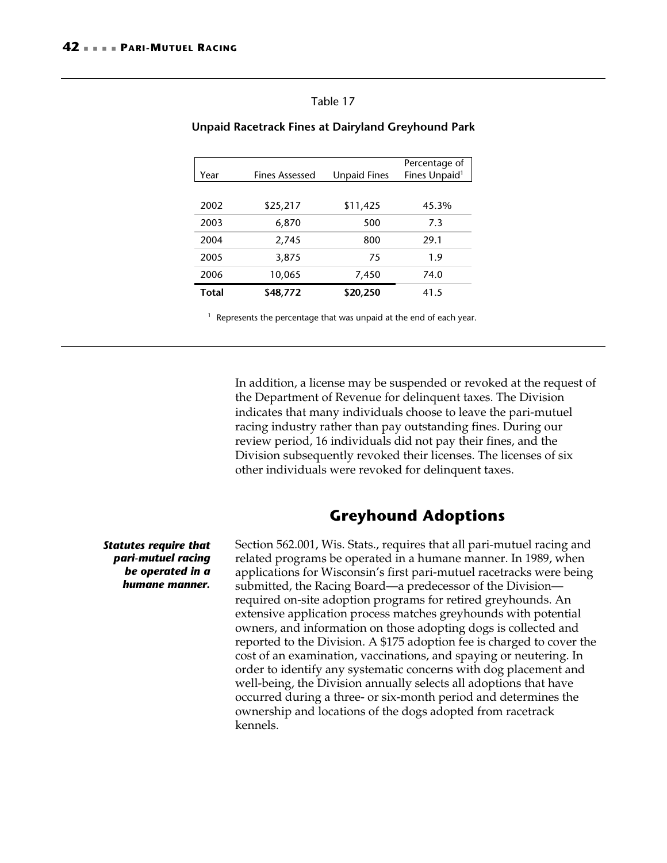### <span id="page-45-2"></span>Table 17

| Year         | <b>Fines Assessed</b> | <b>Unpaid Fines</b> | Percentage of<br>Fines Unpaid <sup>1</sup> |
|--------------|-----------------------|---------------------|--------------------------------------------|
|              |                       |                     |                                            |
| 2002         | \$25,217              | \$11,425            | 45.3%                                      |
| 2003         | 6,870                 | 500                 | 7.3                                        |
| 2004         | 2,745                 | 800                 | 29.1                                       |
| 2005         | 3,875                 | 75                  | 1.9                                        |
| 2006         | 10,065                | 7,450               | 74.0                                       |
| <b>Total</b> | \$48,772              | \$20,250            | 41.5                                       |

### <span id="page-45-1"></span>**Unpaid Racetrack Fines at Dairyland Greyhound Park**

<sup>1</sup> Represents the percentage that was unpaid at the end of each year.

In addition, a license may be suspended or revoked at the request of the Department of Revenue for delinquent taxes. The Division indicates that many individuals choose to leave the pari-mutuel racing industry rather than pay outstanding fines. During our review period, 16 individuals did not pay their fines, and the Division subsequently revoked their licenses. The licenses of six other individuals were revoked for delinquent taxes.

## <span id="page-45-0"></span>**Greyhound Adoptions**

*Statutes require that pari-mutuel racing be operated in a humane manner.* 

Section 562.001, Wis. Stats., requires that all pari-mutuel racing and related programs be operated in a humane manner. In 1989, when applications for Wisconsin's first pari-mutuel racetracks were being submitted, the Racing Board—a predecessor of the Division required on-site adoption programs for retired greyhounds. An extensive application process matches greyhounds with potential owners, and information on those adopting dogs is collected and reported to the Division. A \$175 adoption fee is charged to cover the cost of an examination, vaccinations, and spaying or neutering. In order to identify any systematic concerns with dog placement and well-being, the Division annually selects all adoptions that have occurred during a three- or six-month period and determines the ownership and locations of the dogs adopted from racetrack kennels.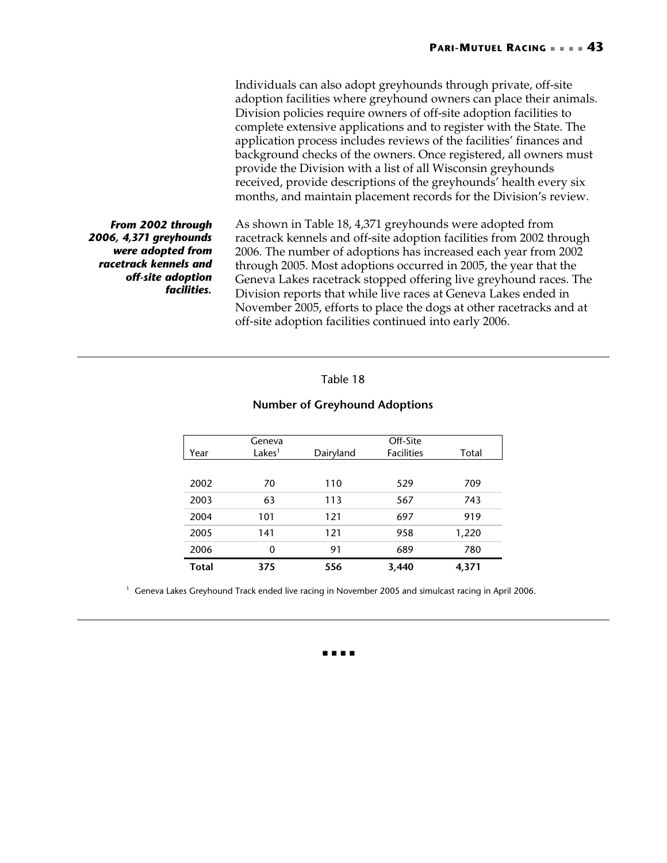Individuals can also adopt greyhounds through private, off-site adoption facilities where greyhound owners can place their animals. Division policies require owners of off-site adoption facilities to complete extensive applications and to register with the State. The application process includes reviews of the facilities' finances and background checks of the owners. Once registered, all owners must provide the Division with a list of all Wisconsin greyhounds received, provide descriptions of the greyhounds' health every six months, and maintain placement records for the Division's review.

*From 2002 through 2006, 4,371 greyhounds were adopted from racetrack kennels and off-site adoption facilities.* 

As shown in [Table 18,](#page-46-0) 4,371 greyhounds were adopted from racetrack kennels and off-site adoption facilities from 2002 through 2006. The number of adoptions has increased each year from 2002 through 2005. Most adoptions occurred in 2005, the year that the Geneva Lakes racetrack stopped offering live greyhound races. The Division reports that while live races at Geneva Lakes ended in November 2005, efforts to place the dogs at other racetracks and at off-site adoption facilities continued into early 2006.

### <span id="page-46-0"></span>Table 18

### **Number of Greyhound Adoptions**

|              | Geneva             |           | Off-Site          |       |
|--------------|--------------------|-----------|-------------------|-------|
| Year         | Lakes <sup>1</sup> | Dairyland | <b>Facilities</b> | Total |
|              |                    |           |                   |       |
| 2002         | 70                 | 110       | 529               | 709   |
| 2003         | 63                 | 113       | 567               | 743   |
| 2004         | 101                | 121       | 697               | 919   |
| 2005         | 141                | 121       | 958               | 1,220 |
| 2006         | 0                  | 91        | 689               | 780   |
| <b>Total</b> | 375                | 556       | 3,440             | 4,371 |

<sup>1</sup> Geneva Lakes Greyhound Track ended live racing in November 2005 and simulcast racing in April 2006.

. . . .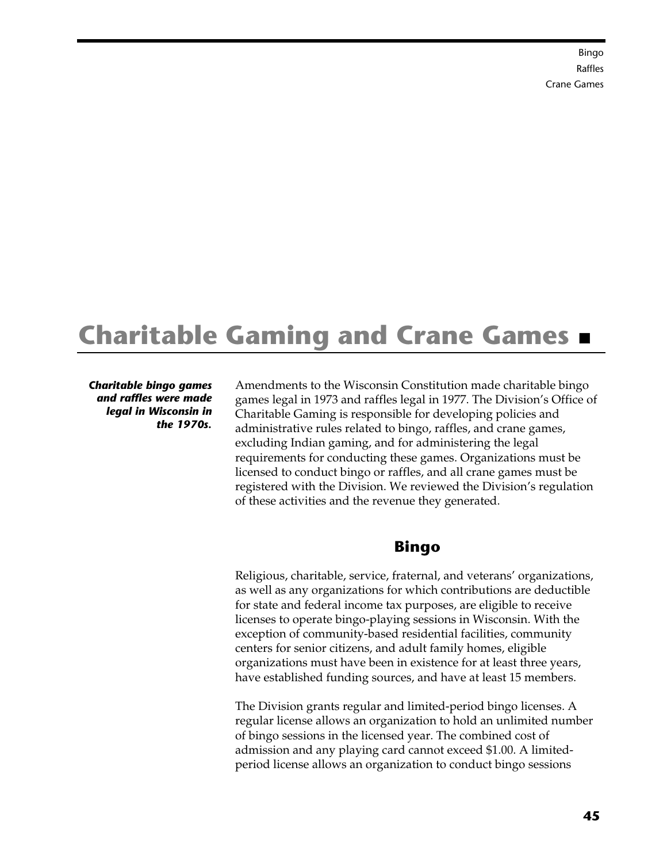Bingo  [Raffles](#page-51-1)  [Crane Games](#page-53-1)

# <span id="page-48-0"></span>**Charitable Gaming and Crane Games**

*Charitable bingo games and raffles were made legal in Wisconsin in the 1970s.* 

Amendments to the Wisconsin Constitution made charitable bingo games legal in 1973 and raffles legal in 1977. The Division's Office of Charitable Gaming is responsible for developing policies and administrative rules related to bingo, raffles, and crane games, excluding Indian gaming, and for administering the legal requirements for conducting these games. Organizations must be licensed to conduct bingo or raffles, and all crane games must be registered with the Division. We reviewed the Division's regulation of these activities and the revenue they generated.

## <span id="page-48-1"></span>**Bingo**

Religious, charitable, service, fraternal, and veterans' organizations, as well as any organizations for which contributions are deductible for state and federal income tax purposes, are eligible to receive licenses to operate bingo-playing sessions in Wisconsin. With the exception of community-based residential facilities, community centers for senior citizens, and adult family homes, eligible organizations must have been in existence for at least three years, have established funding sources, and have at least 15 members.

The Division grants regular and limited-period bingo licenses. A regular license allows an organization to hold an unlimited number of bingo sessions in the licensed year. The combined cost of admission and any playing card cannot exceed \$1.00. A limitedperiod license allows an organization to conduct bingo sessions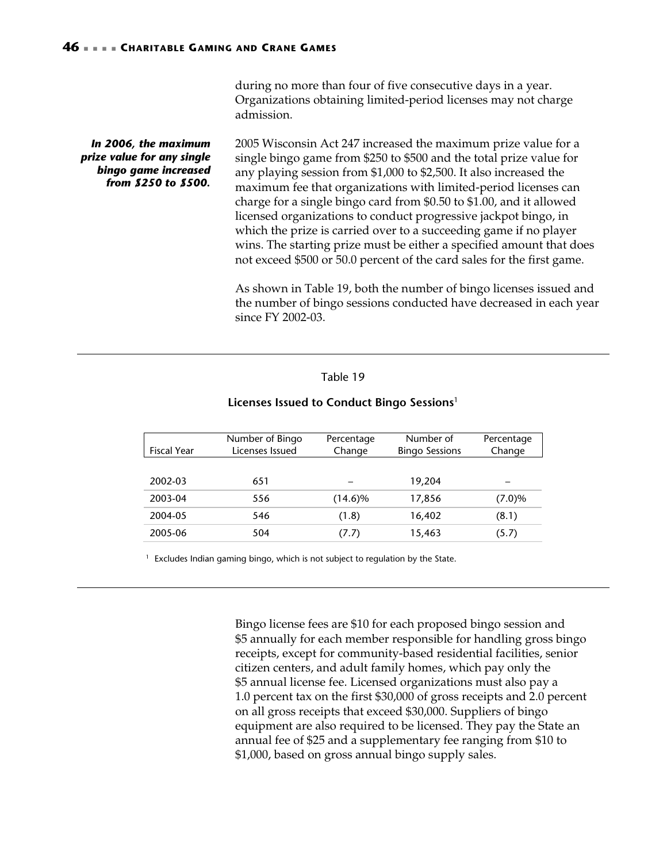during no more than four of five consecutive days in a year. Organizations obtaining limited-period licenses may not charge admission.

2005 Wisconsin Act 247 increased the maximum prize value for a single bingo game from \$250 to \$500 and the total prize value for any playing session from \$1,000 to \$2,500. It also increased the maximum fee that organizations with limited-period licenses can charge for a single bingo card from \$0.50 to \$1.00, and it allowed licensed organizations to conduct progressive jackpot bingo, in which the prize is carried over to a succeeding game if no player wins. The starting prize must be either a specified amount that does not exceed \$500 or 50.0 percent of the card sales for the first game. As shown in [Table 19,](#page-49-0) both the number of bingo licenses issued and *In 2006, the maximum prize value for any single bingo game increased from \$250 to \$500.* 

the number of bingo sessions conducted have decreased in each year since FY 2002-03.

### <span id="page-49-0"></span>Table 19

#### **Licenses Issued to Conduct Bingo Sessions**<sup>1</sup>

|                    | Number of Bingo | Percentage | Number of             | Percentage |
|--------------------|-----------------|------------|-----------------------|------------|
| <b>Fiscal Year</b> | Licenses Issued | Change     | <b>Bingo Sessions</b> | Change     |
|                    |                 |            |                       |            |
| 2002-03            | 651             |            | 19,204                |            |
| 2003-04            | 556             | $(14.6)\%$ | 17,856                | (7.0)%     |
| 2004-05            | 546             | (1.8)      | 16,402                | (8.1)      |
| 2005-06            | 504             | (7.7)      | 15,463                | (5.7)      |

 $1$  Excludes Indian gaming bingo, which is not subject to regulation by the State.

Bingo license fees are \$10 for each proposed bingo session and \$5 annually for each member responsible for handling gross bingo receipts, except for community-based residential facilities, senior citizen centers, and adult family homes, which pay only the \$5 annual license fee. Licensed organizations must also pay a 1.0 percent tax on the first \$30,000 of gross receipts and 2.0 percent on all gross receipts that exceed \$30,000. Suppliers of bingo equipment are also required to be licensed. They pay the State an annual fee of \$25 and a supplementary fee ranging from \$10 to \$1,000, based on gross annual bingo supply sales.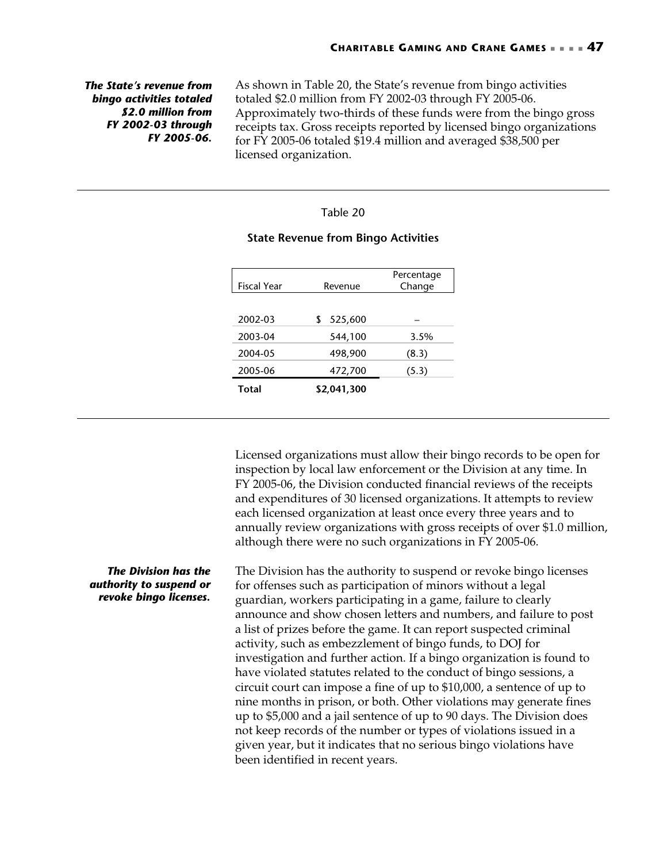*The State's revenue from bingo activities totaled \$2.0 million from FY 2002-03 through FY 2005-06.* 

As shown in [Table 20,](#page-50-0) the State's revenue from bingo activities totaled \$2.0 million from FY 2002-03 through FY 2005-06. Approximately two-thirds of these funds were from the bingo gross receipts tax. Gross receipts reported by licensed bingo organizations for FY 2005-06 totaled \$19.4 million and averaged \$38,500 per licensed organization.

### <span id="page-50-0"></span>Table 20

# Fiscal Year Revenue Percentage Change 2002-03 \$ 525,600 – 2003-04 544,100 3.5% 2004-05 498,900 (8.3) 2005-06 472,700 (5.3) **Total \$2,041,300**

### **State Revenue from Bingo Activities**

Licensed organizations must allow their bingo records to be open for inspection by local law enforcement or the Division at any time. In FY 2005-06, the Division conducted financial reviews of the receipts and expenditures of 30 licensed organizations. It attempts to review each licensed organization at least once every three years and to annually review organizations with gross receipts of over \$1.0 million, although there were no such organizations in FY 2005-06.

The Division has the authority to suspend or revoke bingo licenses for offenses such as participation of minors without a legal guardian, workers participating in a game, failure to clearly announce and show chosen letters and numbers, and failure to post a list of prizes before the game. It can report suspected criminal activity, such as embezzlement of bingo funds, to DOJ for investigation and further action. If a bingo organization is found to have violated statutes related to the conduct of bingo sessions, a circuit court can impose a fine of up to \$10,000, a sentence of up to nine months in prison, or both. Other violations may generate fines up to \$5,000 and a jail sentence of up to 90 days. The Division does not keep records of the number or types of violations issued in a given year, but it indicates that no serious bingo violations have been identified in recent years.

*The Division has the authority to suspend or revoke bingo licenses.*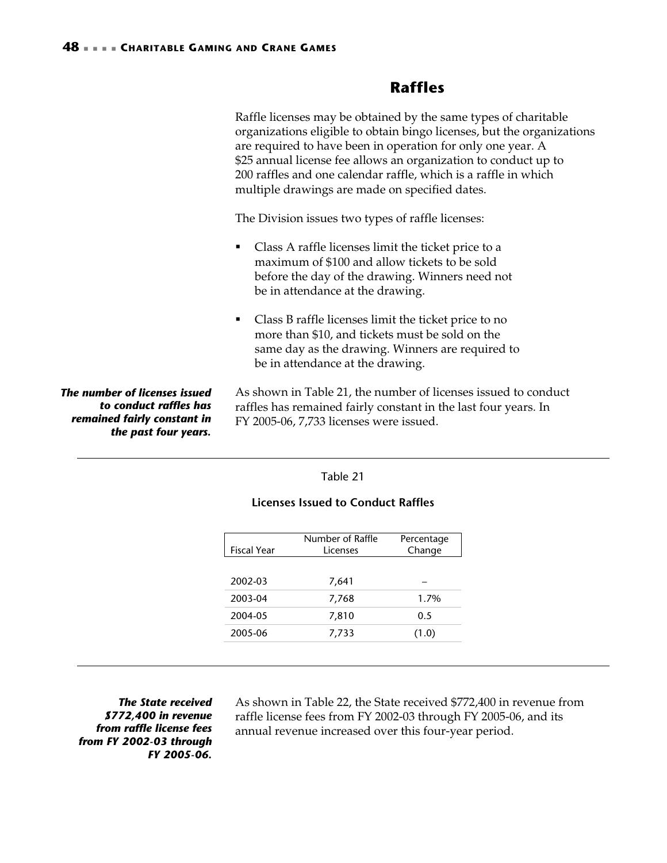## <span id="page-51-0"></span>**Raffles**

<span id="page-51-1"></span>Raffle licenses may be obtained by the same types of charitable organizations eligible to obtain bingo licenses, but the organizations are required to have been in operation for only one year. A \$25 annual license fee allows an organization to conduct up to 200 raffles and one calendar raffle, which is a raffle in which multiple drawings are made on specified dates.

The Division issues two types of raffle licenses:

- Class A raffle licenses limit the ticket price to a maximum of \$100 and allow tickets to be sold before the day of the drawing. Winners need not be in attendance at the drawing.
- Class B raffle licenses limit the ticket price to no more than \$10, and tickets must be sold on the same day as the drawing. Winners are required to be in attendance at the drawing.

*The number of licenses issued to conduct raffles has remained fairly constant in the past four years.* 

As shown in [Table 21,](#page-51-2) the number of licenses issued to conduct raffles has remained fairly constant in the last four years. In FY 2005-06, 7,733 licenses were issued.

### <span id="page-51-2"></span>Table 21

|                    | Number of Raffle | Percentage |
|--------------------|------------------|------------|
| <b>Fiscal Year</b> | <b>Licenses</b>  | Change     |
|                    |                  |            |
| 2002-03            | 7,641            |            |
| 2003-04            | 7,768            | $1.7\%$    |
| 2004-05            | 7,810            | 0.5        |
| 2005-06            | 7,733            | (1.0)      |

### **Licenses Issued to Conduct Raffles**

*The State received \$772,400 in revenue from raffle license fees from FY 2002-03 through FY 2005-06.* 

As shown in [Table 22,](#page-52-0) the State received \$772,400 in revenue from raffle license fees from FY 2002-03 through FY 2005-06, and its annual revenue increased over this four-year period.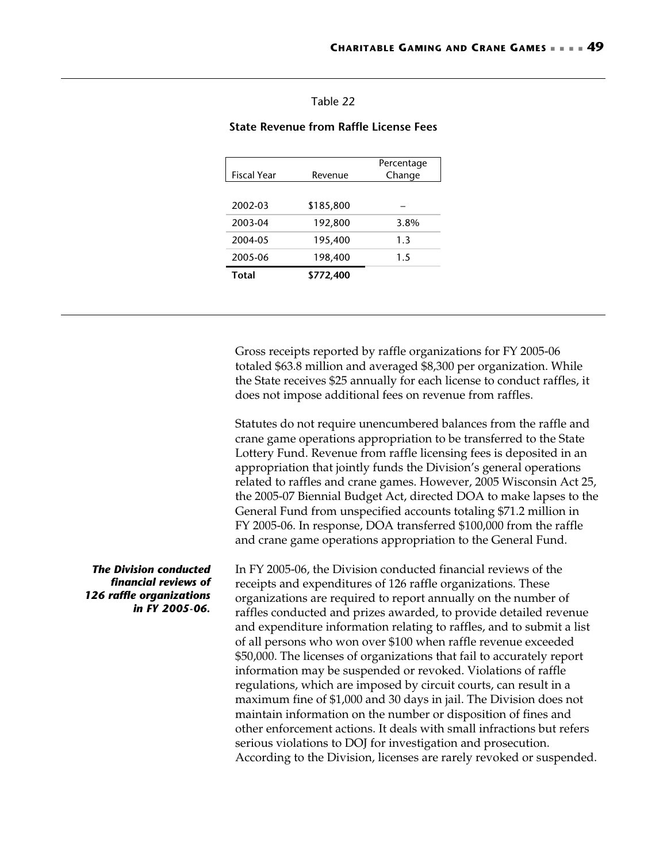### <span id="page-52-0"></span>Table 22

### **State Revenue from Raffle License Fees**

| <b>Fiscal Year</b> | Revenue   | Percentage<br>Change |
|--------------------|-----------|----------------------|
|                    |           |                      |
| 2002-03            | \$185,800 |                      |
| 2003-04            | 192,800   | 3.8%                 |
| 2004-05            | 195,400   | 1.3                  |
| 2005-06            | 198,400   | 1.5                  |
| Total              | \$772,400 |                      |

Gross receipts reported by raffle organizations for FY 2005-06 totaled \$63.8 million and averaged \$8,300 per organization. While the State receives \$25 annually for each license to conduct raffles, it does not impose additional fees on revenue from raffles.

Statutes do not require unencumbered balances from the raffle and crane game operations appropriation to be transferred to the State Lottery Fund. Revenue from raffle licensing fees is deposited in an appropriation that jointly funds the Division's general operations related to raffles and crane games. However, 2005 Wisconsin Act 25, the 2005-07 Biennial Budget Act, directed DOA to make lapses to the General Fund from unspecified accounts totaling \$71.2 million in FY 2005-06. In response, DOA transferred \$100,000 from the raffle and crane game operations appropriation to the General Fund.

In FY 2005-06, the Division conducted financial reviews of the receipts and expenditures of 126 raffle organizations. These organizations are required to report annually on the number of raffles conducted and prizes awarded, to provide detailed revenue and expenditure information relating to raffles, and to submit a list of all persons who won over \$100 when raffle revenue exceeded \$50,000. The licenses of organizations that fail to accurately report information may be suspended or revoked. Violations of raffle regulations, which are imposed by circuit courts, can result in a maximum fine of \$1,000 and 30 days in jail. The Division does not maintain information on the number or disposition of fines and other enforcement actions. It deals with small infractions but refers serious violations to DOJ for investigation and prosecution. According to the Division, licenses are rarely revoked or suspended.

*The Division conducted financial reviews of 126 raffle organizations in FY 2005-06.*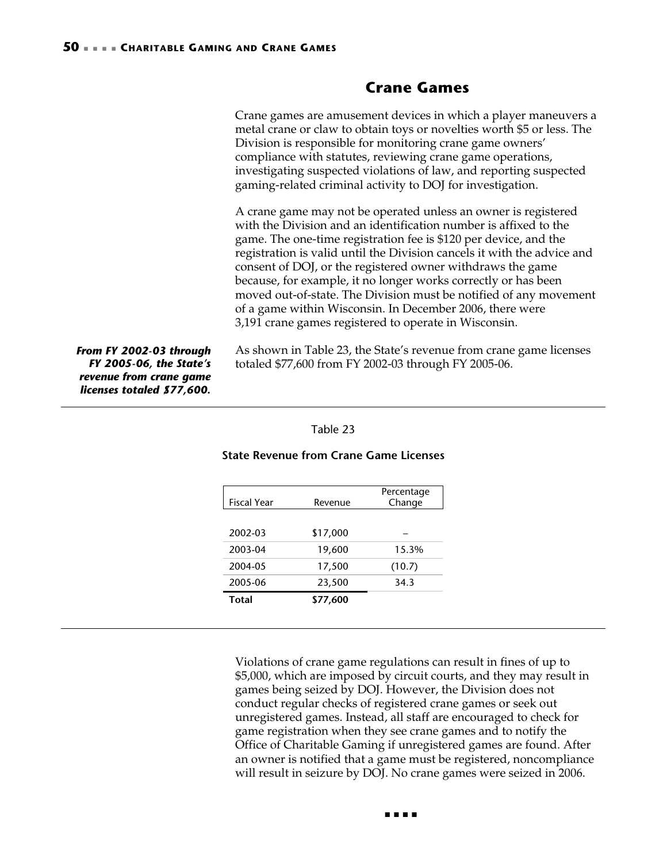## <span id="page-53-0"></span>**Crane Games**

<span id="page-53-1"></span>Crane games are amusement devices in which a player maneuvers a metal crane or claw to obtain toys or novelties worth \$5 or less. The Division is responsible for monitoring crane game owners' compliance with statutes, reviewing crane game operations, investigating suspected violations of law, and reporting suspected gaming-related criminal activity to DOJ for investigation.

A crane game may not be operated unless an owner is registered with the Division and an identification number is affixed to the game. The one-time registration fee is \$120 per device, and the registration is valid until the Division cancels it with the advice and consent of DOJ, or the registered owner withdraws the game because, for example, it no longer works correctly or has been moved out-of-state. The Division must be notified of any movement of a game within Wisconsin. In December 2006, there were 3,191 crane games registered to operate in Wisconsin.

*From FY 2002-03 through FY 2005-06, the State's revenue from crane game licenses totaled \$77,600.* 

As shown in [Table 23,](#page-53-2) the State's revenue from crane game licenses totaled \$77,600 from FY 2002-03 through FY 2005-06.

<span id="page-53-2"></span>

| able |  |
|------|--|
|      |  |

| Fiscal Year  | Revenue  | Percentage<br>Change |
|--------------|----------|----------------------|
|              |          |                      |
| 2002-03      | \$17,000 |                      |
| 2003-04      | 19,600   | 15.3%                |
| 2004-05      | 17,500   | (10.7)               |
| 2005-06      | 23,500   | 34.3                 |
| <b>Total</b> | \$77,600 |                      |

### **State Revenue from Crane Game Licenses**

Violations of crane game regulations can result in fines of up to \$5,000, which are imposed by circuit courts, and they may result in games being seized by DOJ. However, the Division does not conduct regular checks of registered crane games or seek out unregistered games. Instead, all staff are encouraged to check for game registration when they see crane games and to notify the Office of Charitable Gaming if unregistered games are found. After an owner is notified that a game must be registered, noncompliance will result in seizure by DOJ. No crane games were seized in 2006.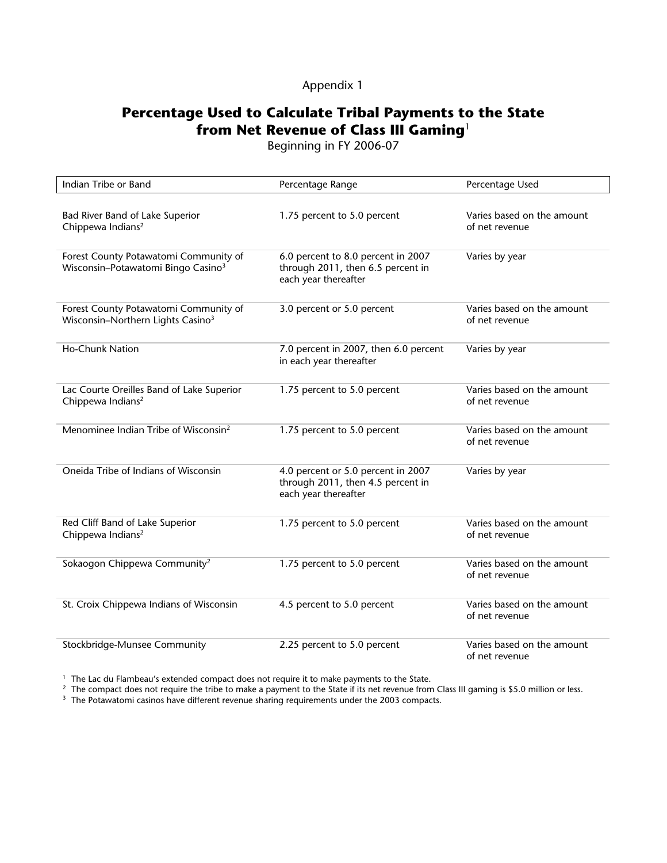## Appendix 1

# <span id="page-54-0"></span>**Percentage Used to Calculate Tribal Payments to the State from Net Revenue of Class III Gaming**<sup>1</sup>

Beginning in FY 2006-07

| Indian Tribe or Band                                                                    | Percentage Range                                                                                | Percentage Used                              |
|-----------------------------------------------------------------------------------------|-------------------------------------------------------------------------------------------------|----------------------------------------------|
| Bad River Band of Lake Superior<br>Chippewa Indians <sup>2</sup>                        | 1.75 percent to 5.0 percent                                                                     | Varies based on the amount<br>of net revenue |
| Forest County Potawatomi Community of<br>Wisconsin-Potawatomi Bingo Casino <sup>3</sup> | 6.0 percent to 8.0 percent in 2007<br>through 2011, then 6.5 percent in<br>each year thereafter | Varies by year                               |
| Forest County Potawatomi Community of<br>Wisconsin-Northern Lights Casino <sup>3</sup>  | 3.0 percent or 5.0 percent                                                                      | Varies based on the amount<br>of net revenue |
| <b>Ho-Chunk Nation</b>                                                                  | 7.0 percent in 2007, then 6.0 percent<br>in each year thereafter                                | Varies by year                               |
| Lac Courte Oreilles Band of Lake Superior<br>Chippewa Indians <sup>2</sup>              | 1.75 percent to 5.0 percent                                                                     | Varies based on the amount<br>of net revenue |
| Menominee Indian Tribe of Wisconsin <sup>2</sup>                                        | 1.75 percent to 5.0 percent                                                                     | Varies based on the amount<br>of net revenue |
| Oneida Tribe of Indians of Wisconsin                                                    | 4.0 percent or 5.0 percent in 2007<br>through 2011, then 4.5 percent in<br>each year thereafter | Varies by year                               |
| Red Cliff Band of Lake Superior<br>Chippewa Indians <sup>2</sup>                        | 1.75 percent to 5.0 percent                                                                     | Varies based on the amount<br>of net revenue |
| Sokaogon Chippewa Community <sup>2</sup>                                                | 1.75 percent to 5.0 percent                                                                     | Varies based on the amount<br>of net revenue |
| St. Croix Chippewa Indians of Wisconsin                                                 | 4.5 percent to 5.0 percent                                                                      | Varies based on the amount<br>of net revenue |
| Stockbridge-Munsee Community                                                            | 2.25 percent to 5.0 percent                                                                     | Varies based on the amount<br>of net revenue |

<sup>1</sup> The Lac du Flambeau's extended compact does not require it to make payments to the State.<br><sup>2</sup> The compact does not require the tribe to make a payment to the State if its net revenue from Class III gaming is \$5.0 mill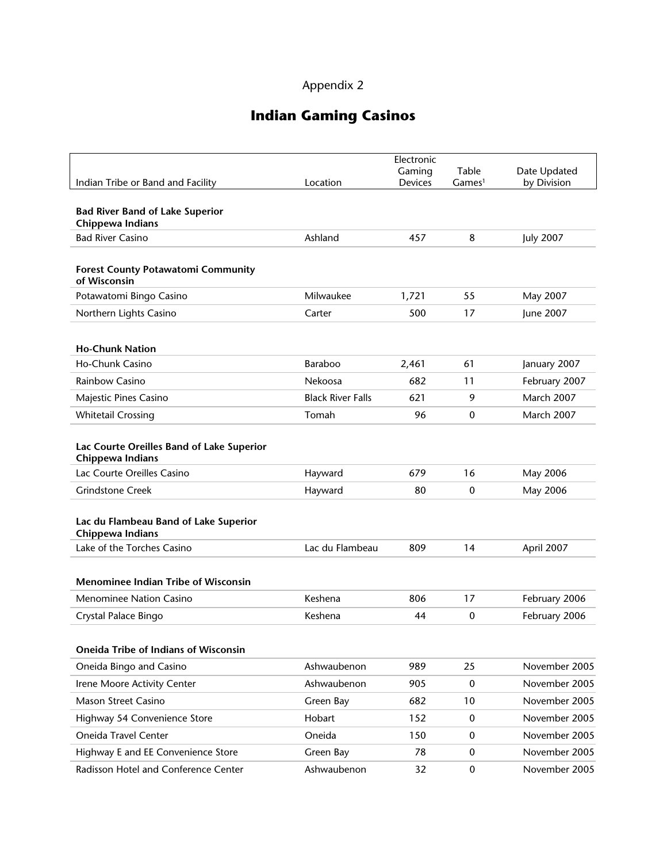# Appendix 2

# **Indian Gaming Casinos**

<span id="page-56-0"></span>

|                                                               |                          | Electronic     |                    |                   |
|---------------------------------------------------------------|--------------------------|----------------|--------------------|-------------------|
|                                                               |                          | Gaming         | Table              | Date Updated      |
| Indian Tribe or Band and Facility                             | Location                 | <b>Devices</b> | Games <sup>1</sup> | by Division       |
| <b>Bad River Band of Lake Superior</b><br>Chippewa Indians    |                          |                |                    |                   |
| <b>Bad River Casino</b>                                       | Ashland                  | 457            | 8                  | <b>July 2007</b>  |
| <b>Forest County Potawatomi Community</b><br>of Wisconsin     |                          |                |                    |                   |
| Potawatomi Bingo Casino                                       | Milwaukee                | 1,721          | 55                 | May 2007          |
| Northern Lights Casino                                        | Carter                   | 500            | 17                 | June 2007         |
| <b>Ho-Chunk Nation</b>                                        |                          |                |                    |                   |
| Ho-Chunk Casino                                               | Baraboo                  | 2,461          | 61                 | January 2007      |
| Rainbow Casino                                                | Nekoosa                  | 682            | 11                 | February 2007     |
| Majestic Pines Casino                                         | <b>Black River Falls</b> | 621            | 9                  | March 2007        |
| <b>Whitetail Crossing</b>                                     | Tomah                    | 96             | $\mathbf 0$        | <b>March 2007</b> |
| Lac Courte Oreilles Band of Lake Superior<br>Chippewa Indians |                          |                |                    |                   |
| Lac Courte Oreilles Casino                                    | Hayward                  | 679            | 16                 | May 2006          |
| <b>Grindstone Creek</b>                                       | Hayward                  | 80             | $\boldsymbol{0}$   | May 2006          |
| Lac du Flambeau Band of Lake Superior<br>Chippewa Indians     |                          |                |                    |                   |
| Lake of the Torches Casino                                    | Lac du Flambeau          | 809            | 14                 | April 2007        |
| <b>Menominee Indian Tribe of Wisconsin</b>                    |                          |                |                    |                   |
| Menominee Nation Casino                                       | Keshena                  | 806            | 17                 | February 2006     |
| Crystal Palace Bingo                                          | Keshena                  | 44             | 0                  | February 2006     |
| Oneida Tribe of Indians of Wisconsin                          |                          |                |                    |                   |
| Oneida Bingo and Casino                                       | Ashwaubenon              | 989            | 25                 | November 2005     |
| Irene Moore Activity Center                                   | Ashwaubenon              | 905            | $\bf{0}$           | November 2005     |
| Mason Street Casino                                           | Green Bay                | 682            | 10                 | November 2005     |
| Highway 54 Convenience Store                                  | Hobart                   | 152            | $\mathbf 0$        | November 2005     |
| Oneida Travel Center                                          | Oneida                   | 150            | $\mathbf 0$        | November 2005     |
| Highway E and EE Convenience Store                            | Green Bay                | 78             | $\bf{0}$           | November 2005     |
| Radisson Hotel and Conference Center                          | Ashwaubenon              | 32             | $\pmb{0}$          | November 2005     |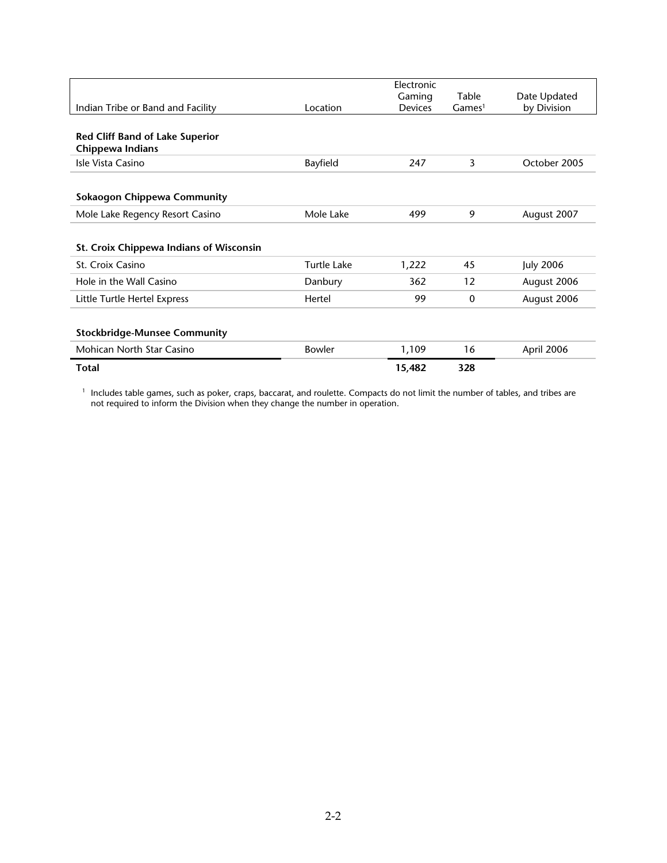|                                         |               | Electronic |                    |                  |
|-----------------------------------------|---------------|------------|--------------------|------------------|
|                                         |               | Gaming     | Table              | Date Updated     |
| Indian Tribe or Band and Facility       | Location      | Devices    | Games <sup>1</sup> | by Division      |
|                                         |               |            |                    |                  |
| <b>Red Cliff Band of Lake Superior</b>  |               |            |                    |                  |
|                                         |               |            |                    |                  |
| Chippewa Indians                        |               |            |                    |                  |
| Isle Vista Casino                       | Bayfield      | 247        | 3                  | October 2005     |
|                                         |               |            |                    |                  |
|                                         |               |            |                    |                  |
| Sokaogon Chippewa Community             |               |            |                    |                  |
| Mole Lake Regency Resort Casino         | Mole Lake     | 499        | 9                  | August 2007      |
|                                         |               |            |                    |                  |
|                                         |               |            |                    |                  |
| St. Croix Chippewa Indians of Wisconsin |               |            |                    |                  |
| St. Croix Casino                        | Turtle Lake   | 1,222      | 45                 | <b>July 2006</b> |
|                                         |               |            |                    |                  |
| Hole in the Wall Casino                 | Danbury       | 362        | 12                 | August 2006      |
| Little Turtle Hertel Express            | Hertel        | 99         | $\mathbf{0}$       | August 2006      |
|                                         |               |            |                    |                  |
|                                         |               |            |                    |                  |
| <b>Stockbridge-Munsee Community</b>     |               |            |                    |                  |
| Mohican North Star Casino               | <b>Bowler</b> | 1,109      | 16                 | April 2006       |
|                                         |               |            |                    |                  |
| <b>Total</b>                            |               | 15,482     | 328                |                  |

1 Includes table games, such as poker, craps, baccarat, and roulette. Compacts do not limit the number of tables, and tribes are not required to inform the Division when they change the number in operation.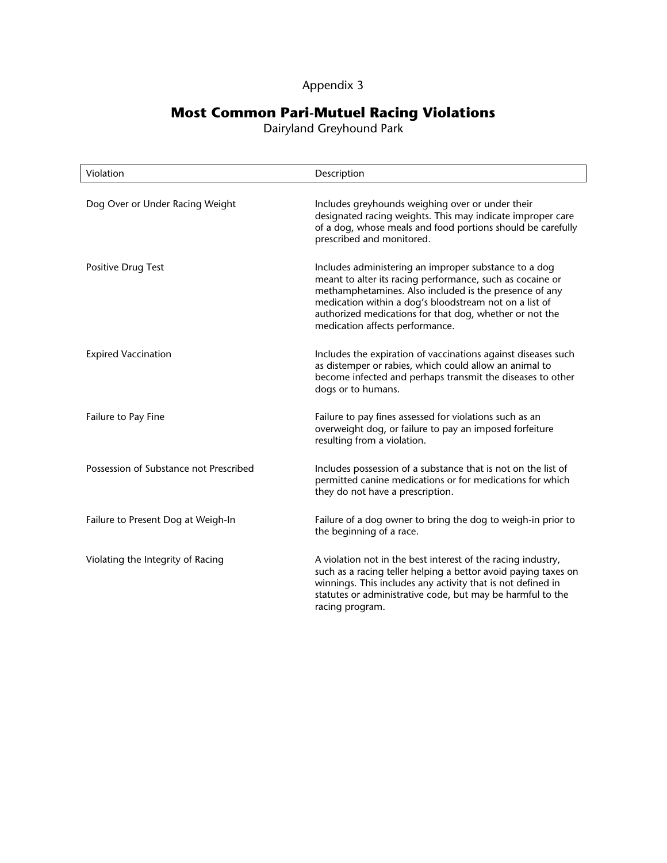## Appendix 3

## **Most Common Pari-Mutuel Racing Violations**

Dairyland Greyhound Park

<span id="page-58-0"></span>

| Violation                              | Description                                                                                                                                                                                                                                                                                                                          |
|----------------------------------------|--------------------------------------------------------------------------------------------------------------------------------------------------------------------------------------------------------------------------------------------------------------------------------------------------------------------------------------|
| Dog Over or Under Racing Weight        | Includes greyhounds weighing over or under their<br>designated racing weights. This may indicate improper care<br>of a dog, whose meals and food portions should be carefully<br>prescribed and monitored.                                                                                                                           |
| Positive Drug Test                     | Includes administering an improper substance to a dog<br>meant to alter its racing performance, such as cocaine or<br>methamphetamines. Also included is the presence of any<br>medication within a dog's bloodstream not on a list of<br>authorized medications for that dog, whether or not the<br>medication affects performance. |
| <b>Expired Vaccination</b>             | Includes the expiration of vaccinations against diseases such<br>as distemper or rabies, which could allow an animal to<br>become infected and perhaps transmit the diseases to other<br>dogs or to humans.                                                                                                                          |
| Failure to Pay Fine                    | Failure to pay fines assessed for violations such as an<br>overweight dog, or failure to pay an imposed forfeiture<br>resulting from a violation.                                                                                                                                                                                    |
| Possession of Substance not Prescribed | Includes possession of a substance that is not on the list of<br>permitted canine medications or for medications for which<br>they do not have a prescription.                                                                                                                                                                       |
| Failure to Present Dog at Weigh-In     | Failure of a dog owner to bring the dog to weigh-in prior to<br>the beginning of a race.                                                                                                                                                                                                                                             |
| Violating the Integrity of Racing      | A violation not in the best interest of the racing industry,<br>such as a racing teller helping a bettor avoid paying taxes on<br>winnings. This includes any activity that is not defined in<br>statutes or administrative code, but may be harmful to the<br>racing program.                                                       |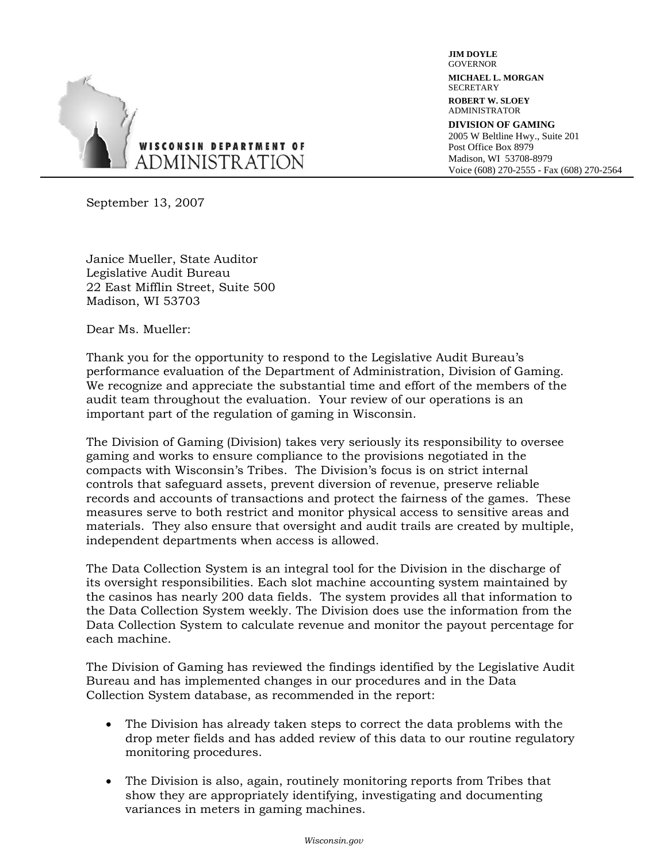<span id="page-60-0"></span>

**JIM DOYLE GOVERNOR MICHAEL L. MORGAN SECRETARY ROBERT W. SLOEY**  ADMINISTRATOR **DIVISION OF GAMING** 2005 W Beltline Hwy., Suite 201 Post Office Box 8979 Madison, WI 53708-8979 Voice (608) 270-2555 - Fax (608) 270-2564

September 13, 2007

Janice Mueller, State Auditor Legislative Audit Bureau 22 East Mifflin Street, Suite 500 Madison, WI 53703

Dear Ms. Mueller:

Thank you for the opportunity to respond to the Legislative Audit Bureau's performance evaluation of the Department of Administration, Division of Gaming. We recognize and appreciate the substantial time and effort of the members of the audit team throughout the evaluation. Your review of our operations is an important part of the regulation of gaming in Wisconsin.

The Division of Gaming (Division) takes very seriously its responsibility to oversee gaming and works to ensure compliance to the provisions negotiated in the compacts with Wisconsin's Tribes. The Division's focus is on strict internal controls that safeguard assets, prevent diversion of revenue, preserve reliable records and accounts of transactions and protect the fairness of the games. These measures serve to both restrict and monitor physical access to sensitive areas and materials. They also ensure that oversight and audit trails are created by multiple, independent departments when access is allowed.

The Data Collection System is an integral tool for the Division in the discharge of its oversight responsibilities. Each slot machine accounting system maintained by the casinos has nearly 200 data fields. The system provides all that information to the Data Collection System weekly. The Division does use the information from the Data Collection System to calculate revenue and monitor the payout percentage for each machine.

The Division of Gaming has reviewed the findings identified by the Legislative Audit Bureau and has implemented changes in our procedures and in the Data Collection System database, as recommended in the report:

- The Division has already taken steps to correct the data problems with the drop meter fields and has added review of this data to our routine regulatory monitoring procedures.
- The Division is also, again, routinely monitoring reports from Tribes that show they are appropriately identifying, investigating and documenting variances in meters in gaming machines.